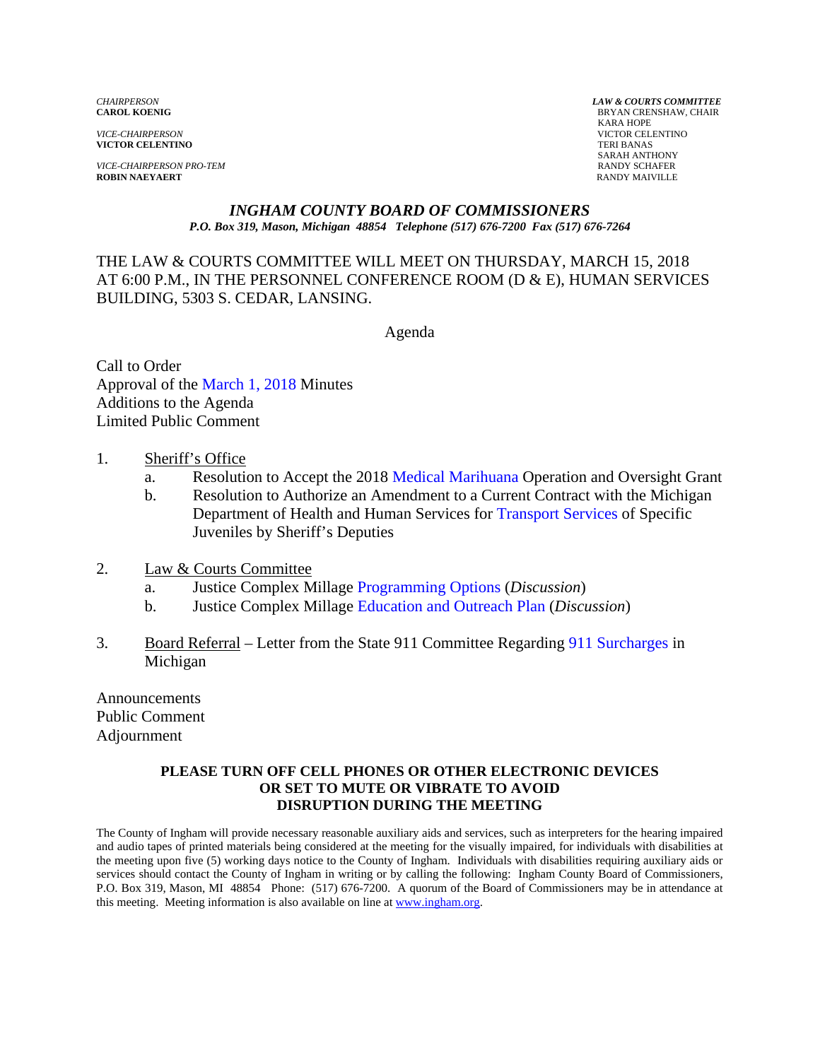*VICE-CHAIRPERSON* VICTOR CELENTINO **VICTOR CELENTINO** 

*VICE-CHAIRPERSON PRO-TEM* RANDY SCHAFER **ROBIN NAEYAERT** 

*CHAIRPERSON LAW & COURTS COMMITTEE* **BRYAN CRENSHAW, CHAIR**  KARA HOPE SARAH ANTHONY

### *INGHAM COUNTY BOARD OF COMMISSIONERS P.O. Box 319, Mason, Michigan 48854 Telephone (517) 676-7200 Fax (517) 676-7264*

THE LAW & COURTS COMMITTEE WILL MEET ON THURSDAY, MARCH 15, 2018 AT 6:00 P.M., IN THE PERSONNEL CONFERENCE ROOM (D & E), HUMAN SERVICES BUILDING, 5303 S. CEDAR, LANSING.

Agenda

Call to Order Approval [of the March 1, 2018 Minutes](#page-1-0)  Additions to the Agenda Limited Public Comment

- 1. Sheriff's Office
	- a. Resolution to Accept the 2018 Medical Marihuana Operation and Oversight Grant
	- b. Resolution to Authorize a[n Amendment to a Current Contr](#page-12-0)act with the Michigan Department of Health and Human Services [for Transport Services of S](#page-14-0)pecific Juveniles by Sheriff's Deputies
- 2. Law & Courts Committee
	- a. Justice Complex Milla[ge Programming Options \(](#page-16-0)*Discussion*)
	- b. Justice Complex Millage [Education and Outreach](#page-21-0) Plan (*Discussion*)
- 3. Board Referral Letter from the State 911 Committee Regar[ding 911 Surcharges in](#page-24-0) Michigan

Announcements Public Comment Adjournment

### **PLEASE TURN OFF CELL PHONES OR OTHER ELECTRONIC DEVICES OR SET TO MUTE OR VIBRATE TO AVOID DISRUPTION DURING THE MEETING**

The County of Ingham will provide necessary reasonable auxiliary aids and services, such as interpreters for the hearing impaired and audio tapes of printed materials being considered at the meeting for the visually impaired, for individuals with disabilities at the meeting upon five (5) working days notice to the County of Ingham. Individuals with disabilities requiring auxiliary aids or services should contact the County of Ingham in writing or by calling the following: Ingham County Board of Commissioners, P.O. Box 319, Mason, MI 48854 Phone: (517) 676-7200. A quorum of the Board of Commissioners may be in attendance at this meeting. Meeting information is also available on line at www.ingham.org.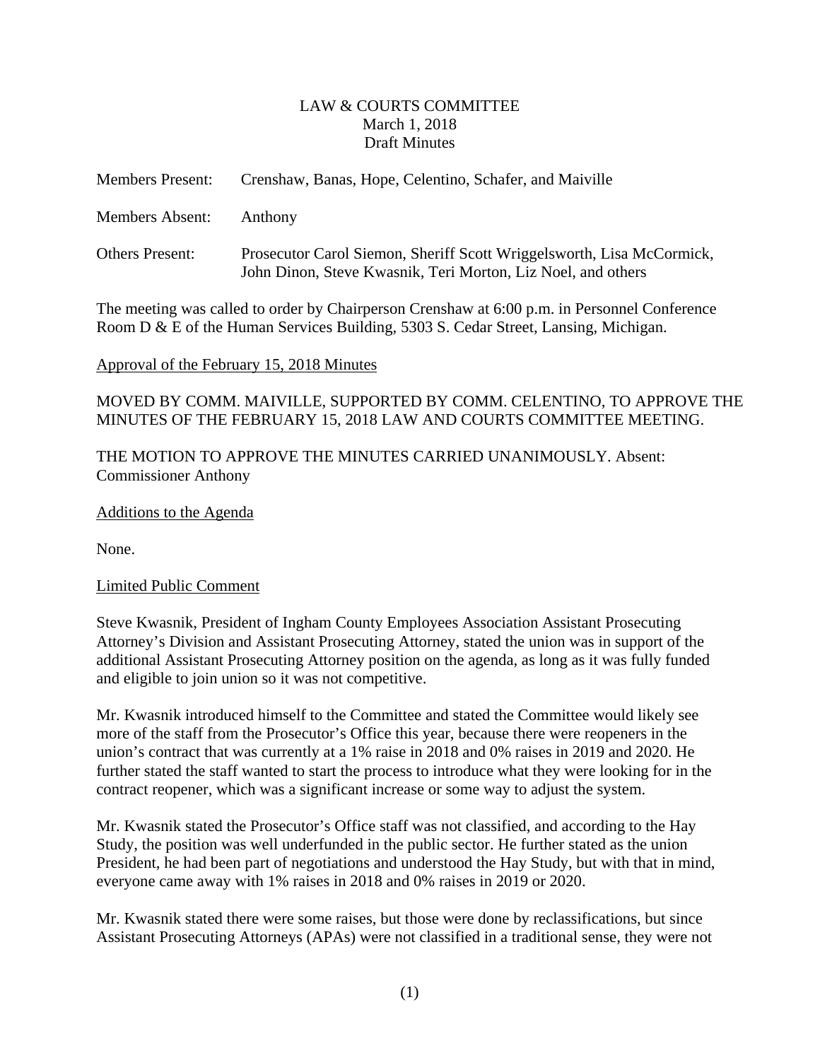## LAW & COURTS COMMITTEE March 1, 2018 Draft Minutes

<span id="page-1-0"></span>

| <b>Members Present:</b> | Crenshaw, Banas, Hope, Celentino, Schafer, and Maiville                                                                               |  |  |
|-------------------------|---------------------------------------------------------------------------------------------------------------------------------------|--|--|
| <b>Members Absent:</b>  | Anthony                                                                                                                               |  |  |
| <b>Others Present:</b>  | Prosecutor Carol Siemon, Sheriff Scott Wriggelsworth, Lisa McCormick,<br>John Dinon, Steve Kwasnik, Teri Morton, Liz Noel, and others |  |  |

The meeting was called to order by Chairperson Crenshaw at 6:00 p.m. in Personnel Conference Room D & E of the Human Services Building, 5303 S. Cedar Street, Lansing, Michigan.

## Approval of the February 15, 2018 Minutes

MOVED BY COMM. MAIVILLE, SUPPORTED BY COMM. CELENTINO, TO APPROVE THE MINUTES OF THE FEBRUARY 15, 2018 LAW AND COURTS COMMITTEE MEETING.

THE MOTION TO APPROVE THE MINUTES CARRIED UNANIMOUSLY. Absent: Commissioner Anthony

## Additions to the Agenda

None.

## Limited Public Comment

Steve Kwasnik, President of Ingham County Employees Association Assistant Prosecuting Attorney's Division and Assistant Prosecuting Attorney, stated the union was in support of the additional Assistant Prosecuting Attorney position on the agenda, as long as it was fully funded and eligible to join union so it was not competitive.

Mr. Kwasnik introduced himself to the Committee and stated the Committee would likely see more of the staff from the Prosecutor's Office this year, because there were reopeners in the union's contract that was currently at a 1% raise in 2018 and 0% raises in 2019 and 2020. He further stated the staff wanted to start the process to introduce what they were looking for in the contract reopener, which was a significant increase or some way to adjust the system.

Mr. Kwasnik stated the Prosecutor's Office staff was not classified, and according to the Hay Study, the position was well underfunded in the public sector. He further stated as the union President, he had been part of negotiations and understood the Hay Study, but with that in mind, everyone came away with 1% raises in 2018 and 0% raises in 2019 or 2020.

Mr. Kwasnik stated there were some raises, but those were done by reclassifications, but since Assistant Prosecuting Attorneys (APAs) were not classified in a traditional sense, they were not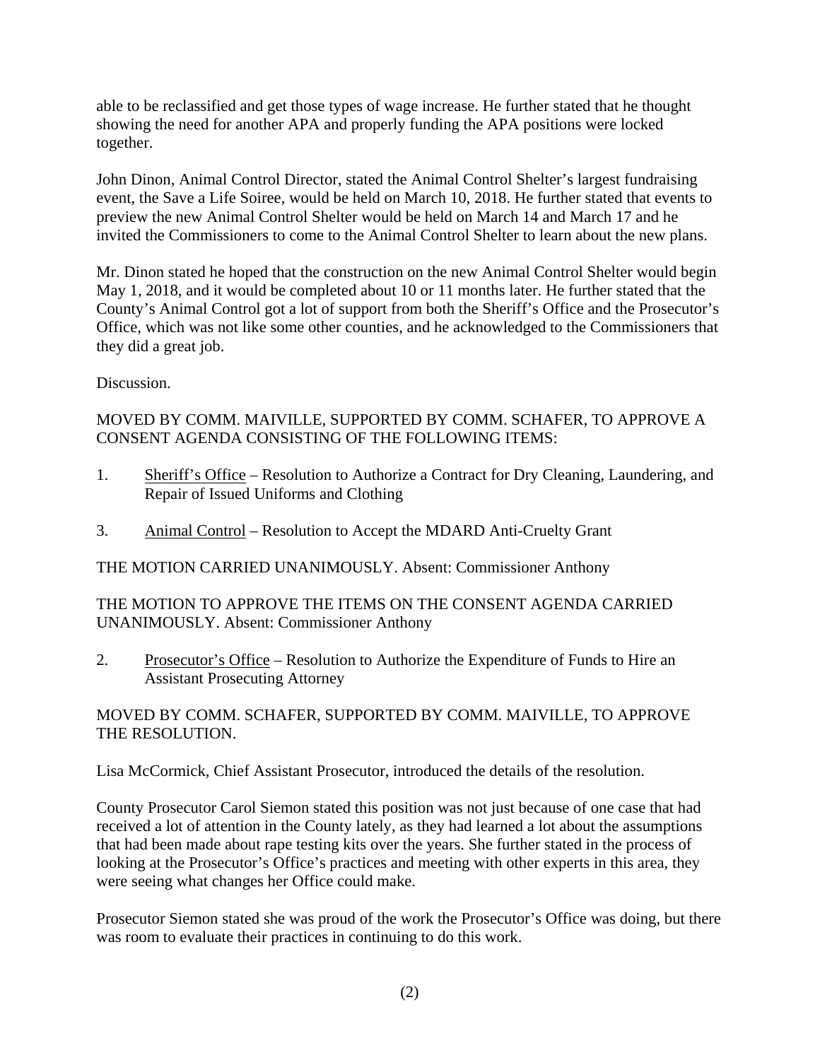able to be reclassified and get those types of wage increase. He further stated that he thought showing the need for another APA and properly funding the APA positions were locked together.

John Dinon, Animal Control Director, stated the Animal Control Shelter's largest fundraising event, the Save a Life Soiree, would be held on March 10, 2018. He further stated that events to preview the new Animal Control Shelter would be held on March 14 and March 17 and he invited the Commissioners to come to the Animal Control Shelter to learn about the new plans.

Mr. Dinon stated he hoped that the construction on the new Animal Control Shelter would begin May 1, 2018, and it would be completed about 10 or 11 months later. He further stated that the County's Animal Control got a lot of support from both the Sheriff's Office and the Prosecutor's Office, which was not like some other counties, and he acknowledged to the Commissioners that they did a great job.

Discussion.

## MOVED BY COMM. MAIVILLE, SUPPORTED BY COMM. SCHAFER, TO APPROVE A CONSENT AGENDA CONSISTING OF THE FOLLOWING ITEMS:

- 1. Sheriff's Office Resolution to Authorize a Contract for Dry Cleaning, Laundering, and Repair of Issued Uniforms and Clothing
- 3. Animal Control Resolution to Accept the MDARD Anti-Cruelty Grant

THE MOTION CARRIED UNANIMOUSLY. Absent: Commissioner Anthony

THE MOTION TO APPROVE THE ITEMS ON THE CONSENT AGENDA CARRIED UNANIMOUSLY. Absent: Commissioner Anthony

2. Prosecutor's Office – Resolution to Authorize the Expenditure of Funds to Hire an Assistant Prosecuting Attorney

## MOVED BY COMM. SCHAFER, SUPPORTED BY COMM. MAIVILLE, TO APPROVE THE RESOLUTION.

Lisa McCormick, Chief Assistant Prosecutor, introduced the details of the resolution.

County Prosecutor Carol Siemon stated this position was not just because of one case that had received a lot of attention in the County lately, as they had learned a lot about the assumptions that had been made about rape testing kits over the years. She further stated in the process of looking at the Prosecutor's Office's practices and meeting with other experts in this area, they were seeing what changes her Office could make.

Prosecutor Siemon stated she was proud of the work the Prosecutor's Office was doing, but there was room to evaluate their practices in continuing to do this work.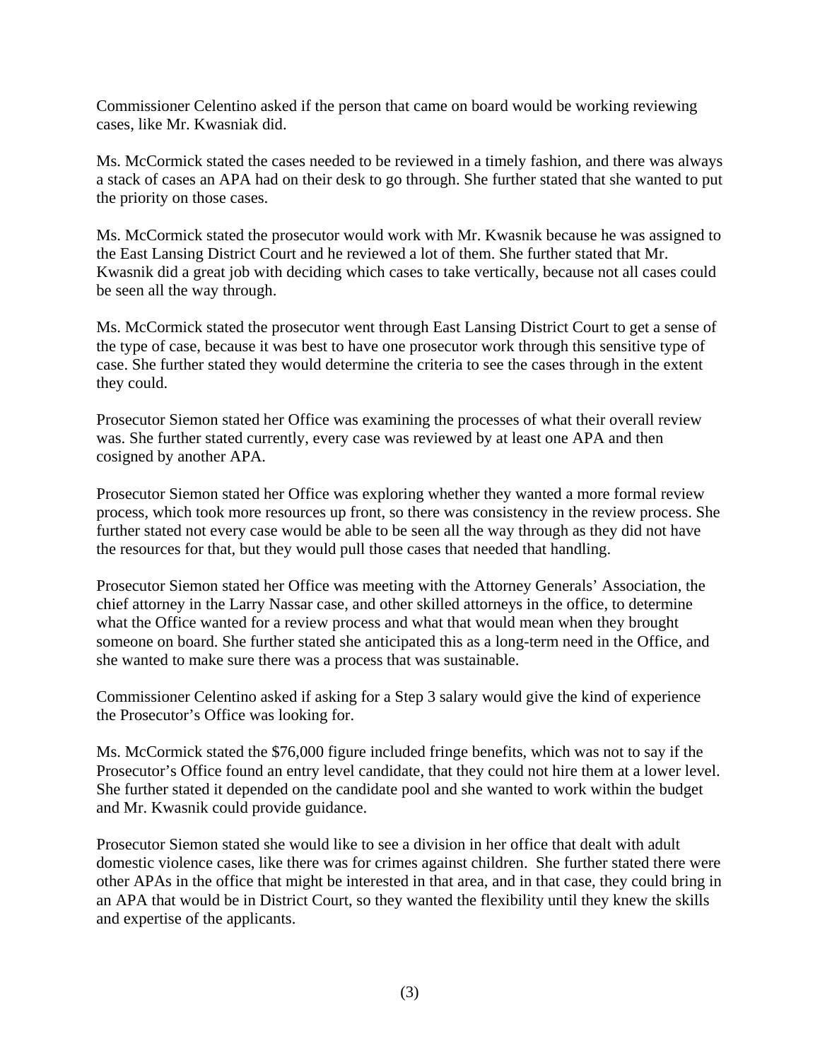Commissioner Celentino asked if the person that came on board would be working reviewing cases, like Mr. Kwasniak did.

Ms. McCormick stated the cases needed to be reviewed in a timely fashion, and there was always a stack of cases an APA had on their desk to go through. She further stated that she wanted to put the priority on those cases.

Ms. McCormick stated the prosecutor would work with Mr. Kwasnik because he was assigned to the East Lansing District Court and he reviewed a lot of them. She further stated that Mr. Kwasnik did a great job with deciding which cases to take vertically, because not all cases could be seen all the way through.

Ms. McCormick stated the prosecutor went through East Lansing District Court to get a sense of the type of case, because it was best to have one prosecutor work through this sensitive type of case. She further stated they would determine the criteria to see the cases through in the extent they could.

Prosecutor Siemon stated her Office was examining the processes of what their overall review was. She further stated currently, every case was reviewed by at least one APA and then cosigned by another APA.

Prosecutor Siemon stated her Office was exploring whether they wanted a more formal review process, which took more resources up front, so there was consistency in the review process. She further stated not every case would be able to be seen all the way through as they did not have the resources for that, but they would pull those cases that needed that handling.

Prosecutor Siemon stated her Office was meeting with the Attorney Generals' Association, the chief attorney in the Larry Nassar case, and other skilled attorneys in the office, to determine what the Office wanted for a review process and what that would mean when they brought someone on board. She further stated she anticipated this as a long-term need in the Office, and she wanted to make sure there was a process that was sustainable.

Commissioner Celentino asked if asking for a Step 3 salary would give the kind of experience the Prosecutor's Office was looking for.

Ms. McCormick stated the \$76,000 figure included fringe benefits, which was not to say if the Prosecutor's Office found an entry level candidate, that they could not hire them at a lower level. She further stated it depended on the candidate pool and she wanted to work within the budget and Mr. Kwasnik could provide guidance.

Prosecutor Siemon stated she would like to see a division in her office that dealt with adult domestic violence cases, like there was for crimes against children. She further stated there were other APAs in the office that might be interested in that area, and in that case, they could bring in an APA that would be in District Court, so they wanted the flexibility until they knew the skills and expertise of the applicants.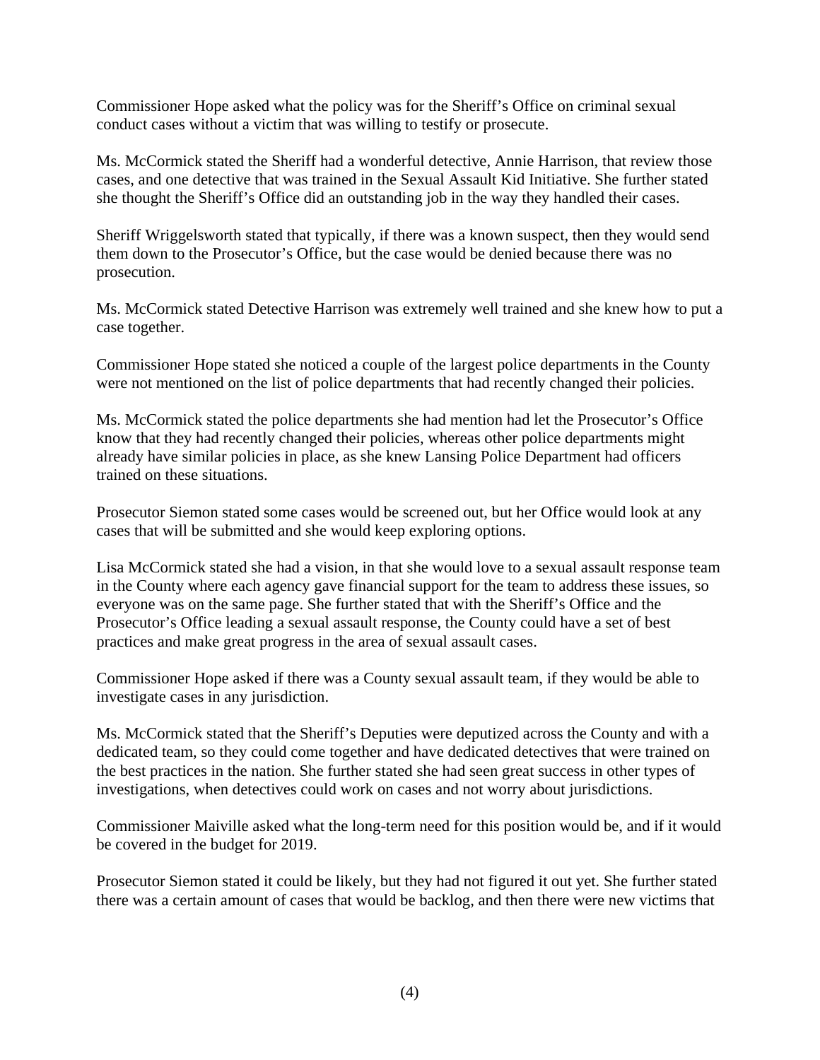Commissioner Hope asked what the policy was for the Sheriff's Office on criminal sexual conduct cases without a victim that was willing to testify or prosecute.

Ms. McCormick stated the Sheriff had a wonderful detective, Annie Harrison, that review those cases, and one detective that was trained in the Sexual Assault Kid Initiative. She further stated she thought the Sheriff's Office did an outstanding job in the way they handled their cases.

Sheriff Wriggelsworth stated that typically, if there was a known suspect, then they would send them down to the Prosecutor's Office, but the case would be denied because there was no prosecution.

Ms. McCormick stated Detective Harrison was extremely well trained and she knew how to put a case together.

Commissioner Hope stated she noticed a couple of the largest police departments in the County were not mentioned on the list of police departments that had recently changed their policies.

Ms. McCormick stated the police departments she had mention had let the Prosecutor's Office know that they had recently changed their policies, whereas other police departments might already have similar policies in place, as she knew Lansing Police Department had officers trained on these situations.

Prosecutor Siemon stated some cases would be screened out, but her Office would look at any cases that will be submitted and she would keep exploring options.

Lisa McCormick stated she had a vision, in that she would love to a sexual assault response team in the County where each agency gave financial support for the team to address these issues, so everyone was on the same page. She further stated that with the Sheriff's Office and the Prosecutor's Office leading a sexual assault response, the County could have a set of best practices and make great progress in the area of sexual assault cases.

Commissioner Hope asked if there was a County sexual assault team, if they would be able to investigate cases in any jurisdiction.

Ms. McCormick stated that the Sheriff's Deputies were deputized across the County and with a dedicated team, so they could come together and have dedicated detectives that were trained on the best practices in the nation. She further stated she had seen great success in other types of investigations, when detectives could work on cases and not worry about jurisdictions.

Commissioner Maiville asked what the long-term need for this position would be, and if it would be covered in the budget for 2019.

Prosecutor Siemon stated it could be likely, but they had not figured it out yet. She further stated there was a certain amount of cases that would be backlog, and then there were new victims that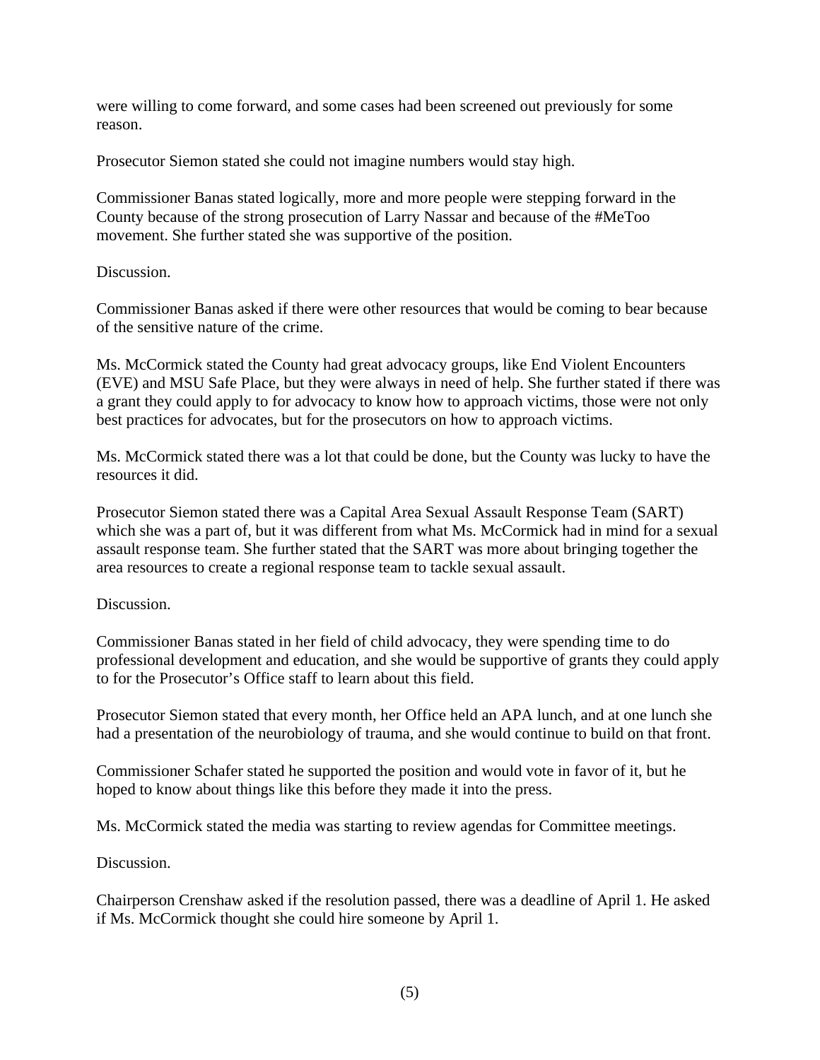were willing to come forward, and some cases had been screened out previously for some reason.

Prosecutor Siemon stated she could not imagine numbers would stay high.

Commissioner Banas stated logically, more and more people were stepping forward in the County because of the strong prosecution of Larry Nassar and because of the #MeToo movement. She further stated she was supportive of the position.

## Discussion.

Commissioner Banas asked if there were other resources that would be coming to bear because of the sensitive nature of the crime.

Ms. McCormick stated the County had great advocacy groups, like End Violent Encounters (EVE) and MSU Safe Place, but they were always in need of help. She further stated if there was a grant they could apply to for advocacy to know how to approach victims, those were not only best practices for advocates, but for the prosecutors on how to approach victims.

Ms. McCormick stated there was a lot that could be done, but the County was lucky to have the resources it did.

Prosecutor Siemon stated there was a Capital Area Sexual Assault Response Team (SART) which she was a part of, but it was different from what Ms. McCormick had in mind for a sexual assault response team. She further stated that the SART was more about bringing together the area resources to create a regional response team to tackle sexual assault.

## Discussion.

Commissioner Banas stated in her field of child advocacy, they were spending time to do professional development and education, and she would be supportive of grants they could apply to for the Prosecutor's Office staff to learn about this field.

Prosecutor Siemon stated that every month, her Office held an APA lunch, and at one lunch she had a presentation of the neurobiology of trauma, and she would continue to build on that front.

Commissioner Schafer stated he supported the position and would vote in favor of it, but he hoped to know about things like this before they made it into the press.

Ms. McCormick stated the media was starting to review agendas for Committee meetings.

## Discussion.

Chairperson Crenshaw asked if the resolution passed, there was a deadline of April 1. He asked if Ms. McCormick thought she could hire someone by April 1.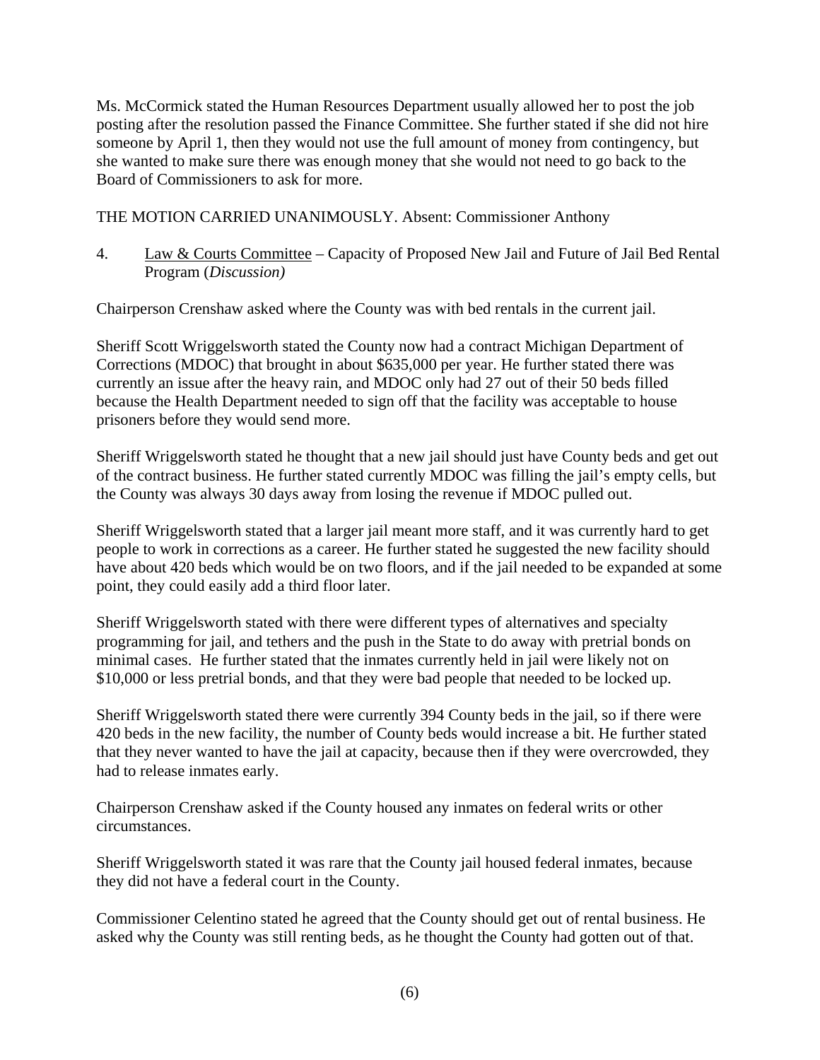Ms. McCormick stated the Human Resources Department usually allowed her to post the job posting after the resolution passed the Finance Committee. She further stated if she did not hire someone by April 1, then they would not use the full amount of money from contingency, but she wanted to make sure there was enough money that she would not need to go back to the Board of Commissioners to ask for more.

THE MOTION CARRIED UNANIMOUSLY. Absent: Commissioner Anthony

4. Law & Courts Committee – Capacity of Proposed New Jail and Future of Jail Bed Rental Program (*Discussion)* 

Chairperson Crenshaw asked where the County was with bed rentals in the current jail.

Sheriff Scott Wriggelsworth stated the County now had a contract Michigan Department of Corrections (MDOC) that brought in about \$635,000 per year. He further stated there was currently an issue after the heavy rain, and MDOC only had 27 out of their 50 beds filled because the Health Department needed to sign off that the facility was acceptable to house prisoners before they would send more.

Sheriff Wriggelsworth stated he thought that a new jail should just have County beds and get out of the contract business. He further stated currently MDOC was filling the jail's empty cells, but the County was always 30 days away from losing the revenue if MDOC pulled out.

Sheriff Wriggelsworth stated that a larger jail meant more staff, and it was currently hard to get people to work in corrections as a career. He further stated he suggested the new facility should have about 420 beds which would be on two floors, and if the jail needed to be expanded at some point, they could easily add a third floor later.

Sheriff Wriggelsworth stated with there were different types of alternatives and specialty programming for jail, and tethers and the push in the State to do away with pretrial bonds on minimal cases. He further stated that the inmates currently held in jail were likely not on \$10,000 or less pretrial bonds, and that they were bad people that needed to be locked up.

Sheriff Wriggelsworth stated there were currently 394 County beds in the jail, so if there were 420 beds in the new facility, the number of County beds would increase a bit. He further stated that they never wanted to have the jail at capacity, because then if they were overcrowded, they had to release inmates early.

Chairperson Crenshaw asked if the County housed any inmates on federal writs or other circumstances.

Sheriff Wriggelsworth stated it was rare that the County jail housed federal inmates, because they did not have a federal court in the County.

Commissioner Celentino stated he agreed that the County should get out of rental business. He asked why the County was still renting beds, as he thought the County had gotten out of that.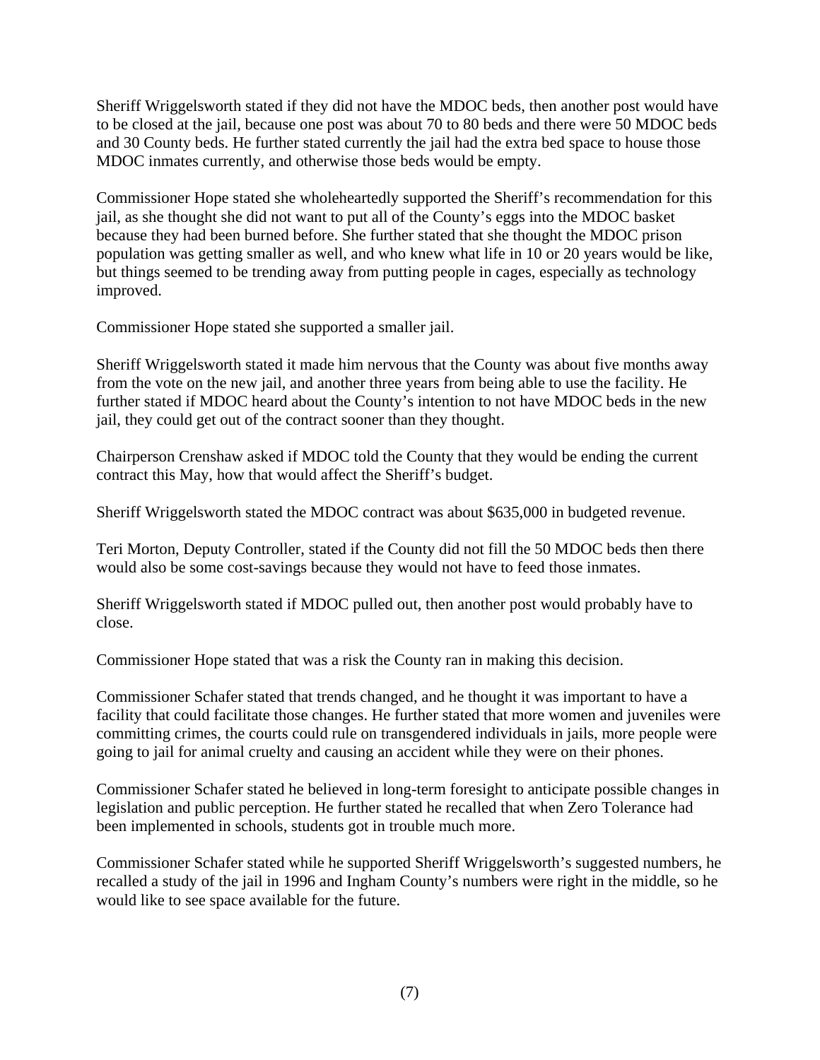Sheriff Wriggelsworth stated if they did not have the MDOC beds, then another post would have to be closed at the jail, because one post was about 70 to 80 beds and there were 50 MDOC beds and 30 County beds. He further stated currently the jail had the extra bed space to house those MDOC inmates currently, and otherwise those beds would be empty.

Commissioner Hope stated she wholeheartedly supported the Sheriff's recommendation for this jail, as she thought she did not want to put all of the County's eggs into the MDOC basket because they had been burned before. She further stated that she thought the MDOC prison population was getting smaller as well, and who knew what life in 10 or 20 years would be like, but things seemed to be trending away from putting people in cages, especially as technology improved.

Commissioner Hope stated she supported a smaller jail.

Sheriff Wriggelsworth stated it made him nervous that the County was about five months away from the vote on the new jail, and another three years from being able to use the facility. He further stated if MDOC heard about the County's intention to not have MDOC beds in the new jail, they could get out of the contract sooner than they thought.

Chairperson Crenshaw asked if MDOC told the County that they would be ending the current contract this May, how that would affect the Sheriff's budget.

Sheriff Wriggelsworth stated the MDOC contract was about \$635,000 in budgeted revenue.

Teri Morton, Deputy Controller, stated if the County did not fill the 50 MDOC beds then there would also be some cost-savings because they would not have to feed those inmates.

Sheriff Wriggelsworth stated if MDOC pulled out, then another post would probably have to close.

Commissioner Hope stated that was a risk the County ran in making this decision.

Commissioner Schafer stated that trends changed, and he thought it was important to have a facility that could facilitate those changes. He further stated that more women and juveniles were committing crimes, the courts could rule on transgendered individuals in jails, more people were going to jail for animal cruelty and causing an accident while they were on their phones.

Commissioner Schafer stated he believed in long-term foresight to anticipate possible changes in legislation and public perception. He further stated he recalled that when Zero Tolerance had been implemented in schools, students got in trouble much more.

Commissioner Schafer stated while he supported Sheriff Wriggelsworth's suggested numbers, he recalled a study of the jail in 1996 and Ingham County's numbers were right in the middle, so he would like to see space available for the future.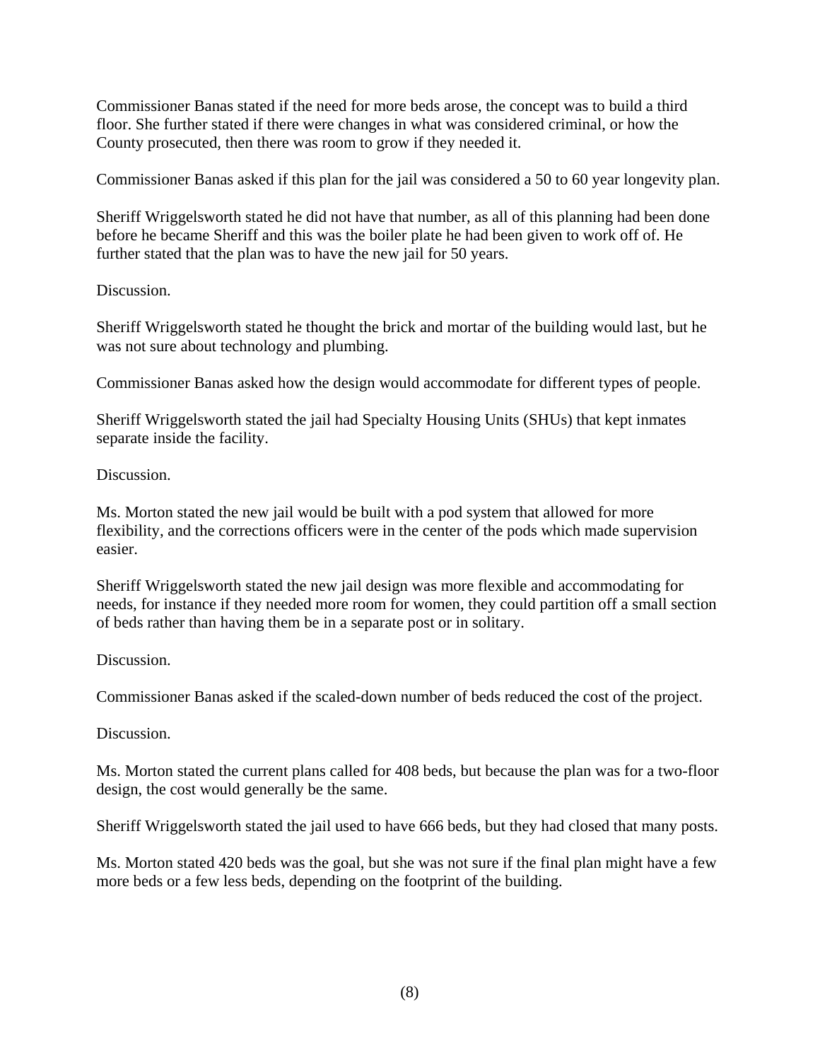Commissioner Banas stated if the need for more beds arose, the concept was to build a third floor. She further stated if there were changes in what was considered criminal, or how the County prosecuted, then there was room to grow if they needed it.

Commissioner Banas asked if this plan for the jail was considered a 50 to 60 year longevity plan.

Sheriff Wriggelsworth stated he did not have that number, as all of this planning had been done before he became Sheriff and this was the boiler plate he had been given to work off of. He further stated that the plan was to have the new jail for 50 years.

## Discussion.

Sheriff Wriggelsworth stated he thought the brick and mortar of the building would last, but he was not sure about technology and plumbing.

Commissioner Banas asked how the design would accommodate for different types of people.

Sheriff Wriggelsworth stated the jail had Specialty Housing Units (SHUs) that kept inmates separate inside the facility.

## Discussion.

Ms. Morton stated the new jail would be built with a pod system that allowed for more flexibility, and the corrections officers were in the center of the pods which made supervision easier.

Sheriff Wriggelsworth stated the new jail design was more flexible and accommodating for needs, for instance if they needed more room for women, they could partition off a small section of beds rather than having them be in a separate post or in solitary.

## Discussion.

Commissioner Banas asked if the scaled-down number of beds reduced the cost of the project.

Discussion.

Ms. Morton stated the current plans called for 408 beds, but because the plan was for a two-floor design, the cost would generally be the same.

Sheriff Wriggelsworth stated the jail used to have 666 beds, but they had closed that many posts.

Ms. Morton stated 420 beds was the goal, but she was not sure if the final plan might have a few more beds or a few less beds, depending on the footprint of the building.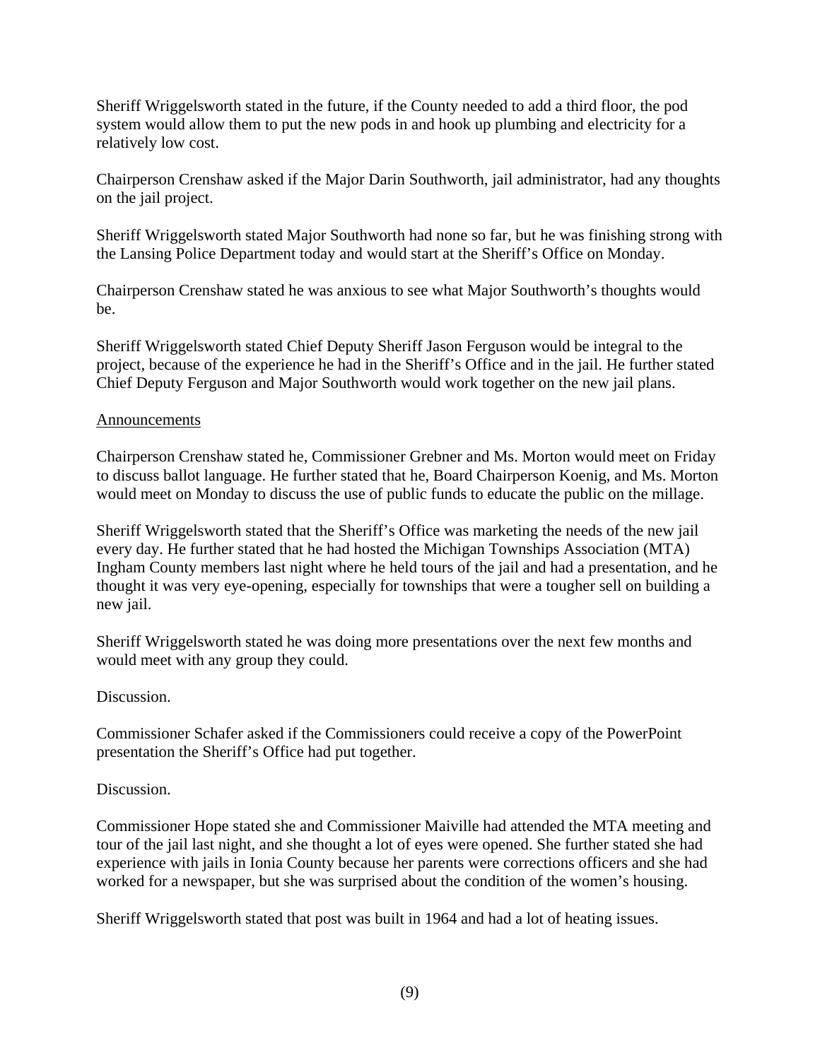Sheriff Wriggelsworth stated in the future, if the County needed to add a third floor, the pod system would allow them to put the new pods in and hook up plumbing and electricity for a relatively low cost.

Chairperson Crenshaw asked if the Major Darin Southworth, jail administrator, had any thoughts on the jail project.

Sheriff Wriggelsworth stated Major Southworth had none so far, but he was finishing strong with the Lansing Police Department today and would start at the Sheriff's Office on Monday.

Chairperson Crenshaw stated he was anxious to see what Major Southworth's thoughts would be.

Sheriff Wriggelsworth stated Chief Deputy Sheriff Jason Ferguson would be integral to the project, because of the experience he had in the Sheriff's Office and in the jail. He further stated Chief Deputy Ferguson and Major Southworth would work together on the new jail plans.

## Announcements

Chairperson Crenshaw stated he, Commissioner Grebner and Ms. Morton would meet on Friday to discuss ballot language. He further stated that he, Board Chairperson Koenig, and Ms. Morton would meet on Monday to discuss the use of public funds to educate the public on the millage.

Sheriff Wriggelsworth stated that the Sheriff's Office was marketing the needs of the new jail every day. He further stated that he had hosted the Michigan Townships Association (MTA) Ingham County members last night where he held tours of the jail and had a presentation, and he thought it was very eye-opening, especially for townships that were a tougher sell on building a new jail.

Sheriff Wriggelsworth stated he was doing more presentations over the next few months and would meet with any group they could.

Discussion.

Commissioner Schafer asked if the Commissioners could receive a copy of the PowerPoint presentation the Sheriff's Office had put together.

## Discussion.

Commissioner Hope stated she and Commissioner Maiville had attended the MTA meeting and tour of the jail last night, and she thought a lot of eyes were opened. She further stated she had experience with jails in Ionia County because her parents were corrections officers and she had worked for a newspaper, but she was surprised about the condition of the women's housing.

Sheriff Wriggelsworth stated that post was built in 1964 and had a lot of heating issues.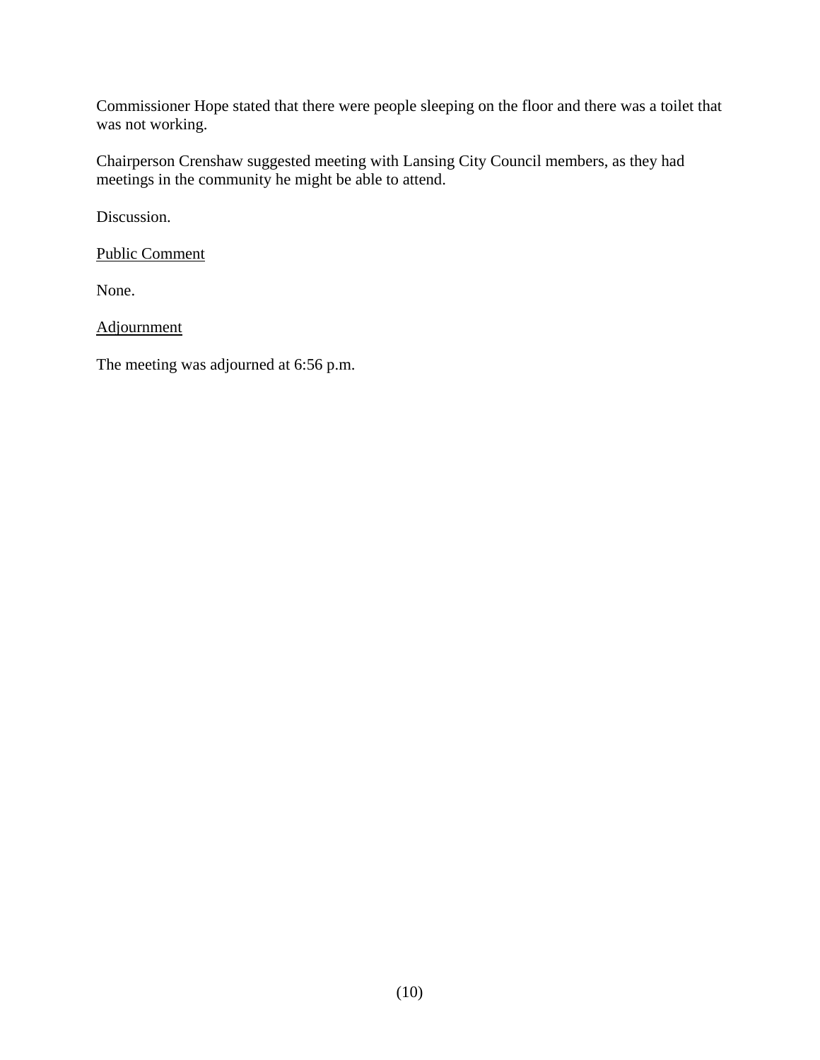Commissioner Hope stated that there were people sleeping on the floor and there was a toilet that was not working.

Chairperson Crenshaw suggested meeting with Lansing City Council members, as they had meetings in the community he might be able to attend.

Discussion.

Public Comment

None.

Adjournment

The meeting was adjourned at 6:56 p.m.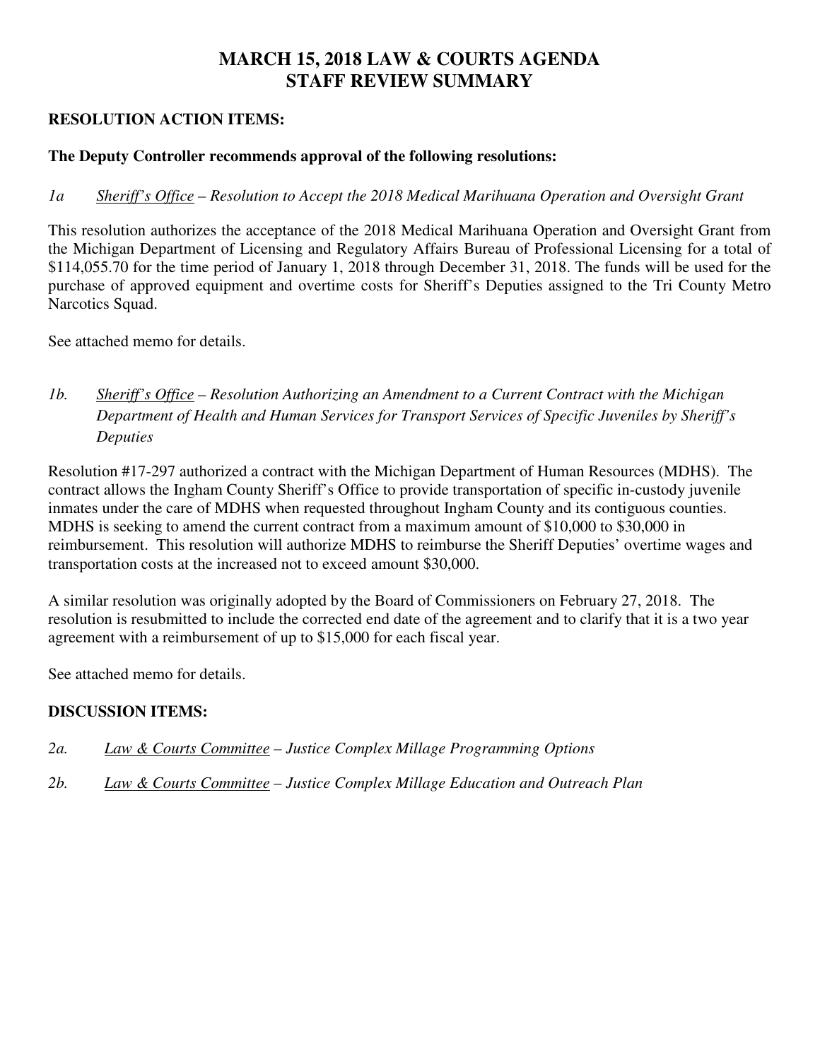# **MARCH 15, 2018 LAW & COURTS AGENDA STAFF REVIEW SUMMARY**

## **RESOLUTION ACTION ITEMS:**

## **The Deputy Controller recommends approval of the following resolutions:**

## *1a Sheriff's Office – Resolution to Accept the 2018 Medical Marihuana Operation and Oversight Grant*

This resolution authorizes the acceptance of the 2018 Medical Marihuana Operation and Oversight Grant from the Michigan Department of Licensing and Regulatory Affairs Bureau of Professional Licensing for a total of \$114,055.70 for the time period of January 1, 2018 through December 31, 2018. The funds will be used for the purchase of approved equipment and overtime costs for Sheriff's Deputies assigned to the Tri County Metro Narcotics Squad.

See attached memo for details.

# *1b. Sheriff's Office – Resolution Authorizing an Amendment to a Current Contract with the Michigan Department of Health and Human Services for Transport Services of Specific Juveniles by Sheriff's Deputies*

Resolution #17-297 authorized a contract with the Michigan Department of Human Resources (MDHS). The contract allows the Ingham County Sheriff's Office to provide transportation of specific in-custody juvenile inmates under the care of MDHS when requested throughout Ingham County and its contiguous counties. MDHS is seeking to amend the current contract from a maximum amount of \$10,000 to \$30,000 in reimbursement. This resolution will authorize MDHS to reimburse the Sheriff Deputies' overtime wages and transportation costs at the increased not to exceed amount \$30,000.

A similar resolution was originally adopted by the Board of Commissioners on February 27, 2018. The resolution is resubmitted to include the corrected end date of the agreement and to clarify that it is a two year agreement with a reimbursement of up to \$15,000 for each fiscal year.

See attached memo for details.

## **DISCUSSION ITEMS:**

- *2a. Law & Courts Committee – Justice Complex Millage Programming Options*
- *2b. Law & Courts Committee Justice Complex Millage Education and Outreach Plan*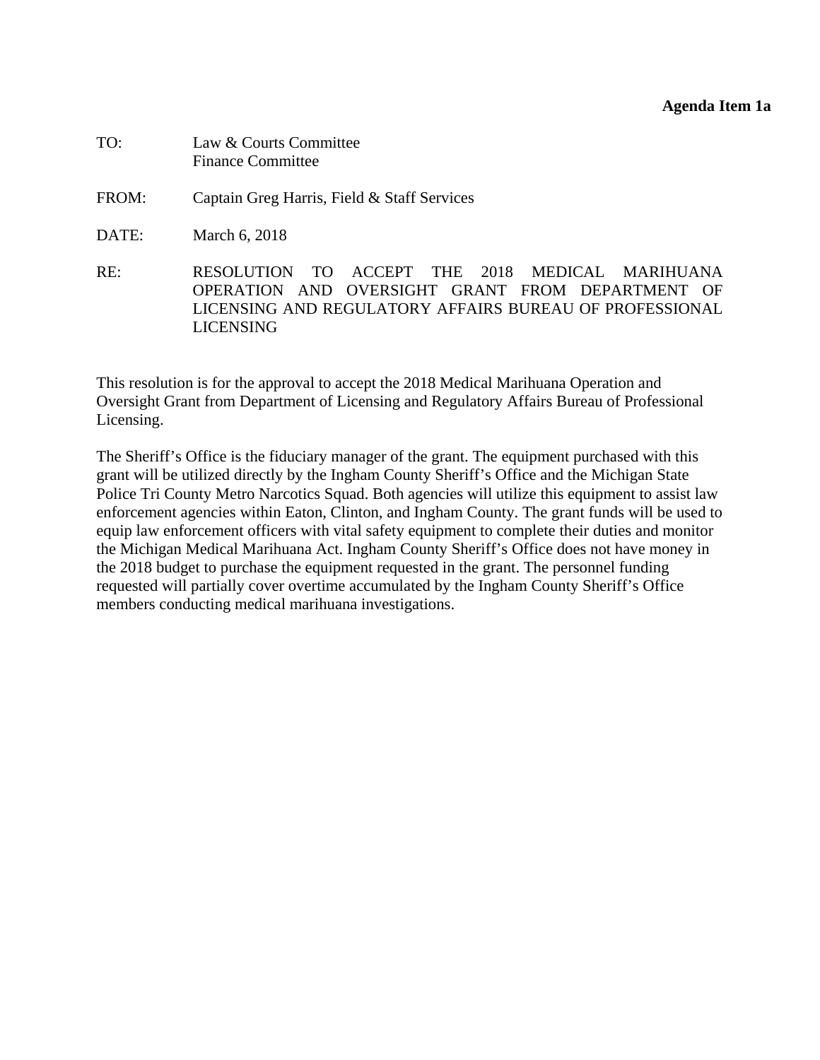<span id="page-12-0"></span>

| TO:   | Law & Courts Committee<br><b>Finance Committee</b>                                                                                                                          |
|-------|-----------------------------------------------------------------------------------------------------------------------------------------------------------------------------|
| FROM: | Captain Greg Harris, Field & Staff Services                                                                                                                                 |
| DATE: | March 6, 2018                                                                                                                                                               |
| RE:   | RESOLUTION TO ACCEPT THE 2018 MEDICAL MARIHUANA<br>OPERATION AND OVERSIGHT GRANT FROM DEPARTMENT OF<br>LICENSING AND REGULATORY AFFAIRS BUREAU OF PROFESSIONAL<br>LICENSING |

This resolution is for the approval to accept the 2018 Medical Marihuana Operation and Oversight Grant from Department of Licensing and Regulatory Affairs Bureau of Professional Licensing.

The Sheriff's Office is the fiduciary manager of the grant. The equipment purchased with this grant will be utilized directly by the Ingham County Sheriff's Office and the Michigan State Police Tri County Metro Narcotics Squad. Both agencies will utilize this equipment to assist law enforcement agencies within Eaton, Clinton, and Ingham County. The grant funds will be used to equip law enforcement officers with vital safety equipment to complete their duties and monitor the Michigan Medical Marihuana Act. Ingham County Sheriff's Office does not have money in the 2018 budget to purchase the equipment requested in the grant. The personnel funding requested will partially cover overtime accumulated by the Ingham County Sheriff's Office members conducting medical marihuana investigations.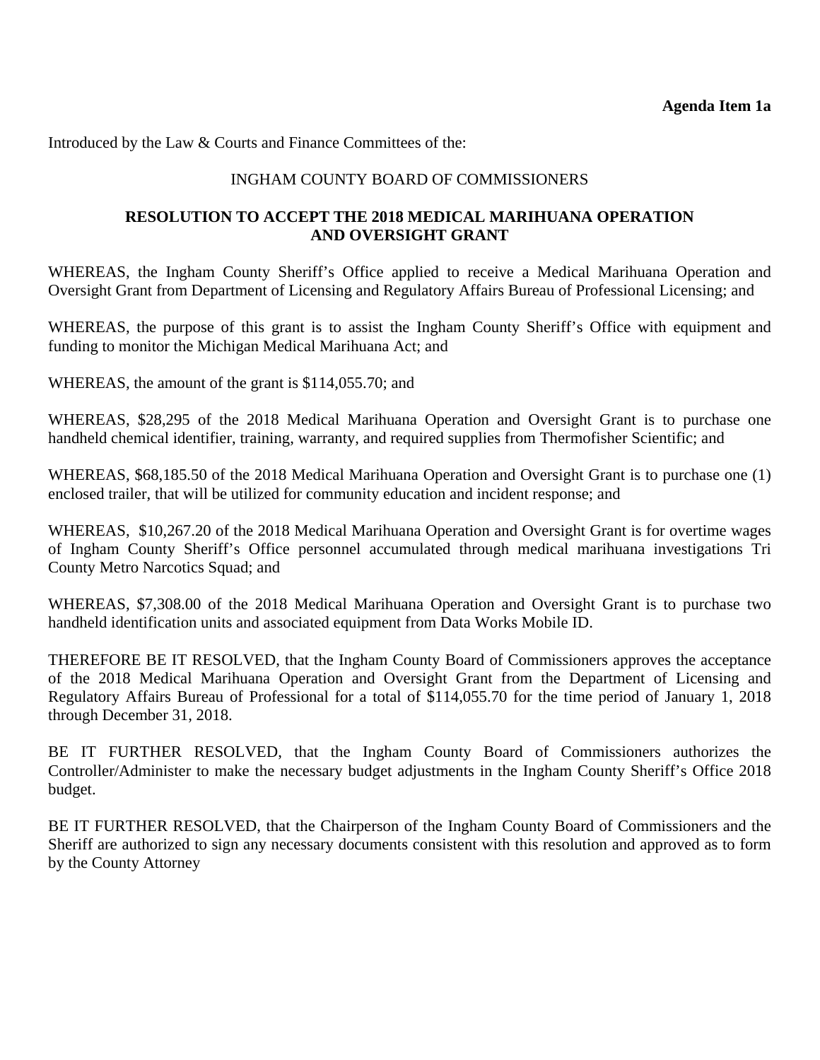Introduced by the Law & Courts and Finance Committees of the:

## INGHAM COUNTY BOARD OF COMMISSIONERS

## **RESOLUTION TO ACCEPT THE 2018 MEDICAL MARIHUANA OPERATION AND OVERSIGHT GRANT**

WHEREAS, the Ingham County Sheriff's Office applied to receive a Medical Marihuana Operation and Oversight Grant from Department of Licensing and Regulatory Affairs Bureau of Professional Licensing; and

WHEREAS, the purpose of this grant is to assist the Ingham County Sheriff's Office with equipment and funding to monitor the Michigan Medical Marihuana Act; and

WHEREAS, the amount of the grant is \$114,055.70; and

WHEREAS, \$28,295 of the 2018 Medical Marihuana Operation and Oversight Grant is to purchase one handheld chemical identifier, training, warranty, and required supplies from Thermofisher Scientific; and

WHEREAS, \$68,185.50 of the 2018 Medical Marihuana Operation and Oversight Grant is to purchase one (1) enclosed trailer, that will be utilized for community education and incident response; and

WHEREAS, \$10,267.20 of the 2018 Medical Marihuana Operation and Oversight Grant is for overtime wages of Ingham County Sheriff's Office personnel accumulated through medical marihuana investigations Tri County Metro Narcotics Squad; and

WHEREAS, \$7,308.00 of the 2018 Medical Marihuana Operation and Oversight Grant is to purchase two handheld identification units and associated equipment from Data Works Mobile ID.

THEREFORE BE IT RESOLVED, that the Ingham County Board of Commissioners approves the acceptance of the 2018 Medical Marihuana Operation and Oversight Grant from the Department of Licensing and Regulatory Affairs Bureau of Professional for a total of \$114,055.70 for the time period of January 1, 2018 through December 31, 2018.

BE IT FURTHER RESOLVED, that the Ingham County Board of Commissioners authorizes the Controller/Administer to make the necessary budget adjustments in the Ingham County Sheriff's Office 2018 budget.

BE IT FURTHER RESOLVED, that the Chairperson of the Ingham County Board of Commissioners and the Sheriff are authorized to sign any necessary documents consistent with this resolution and approved as to form by the County Attorney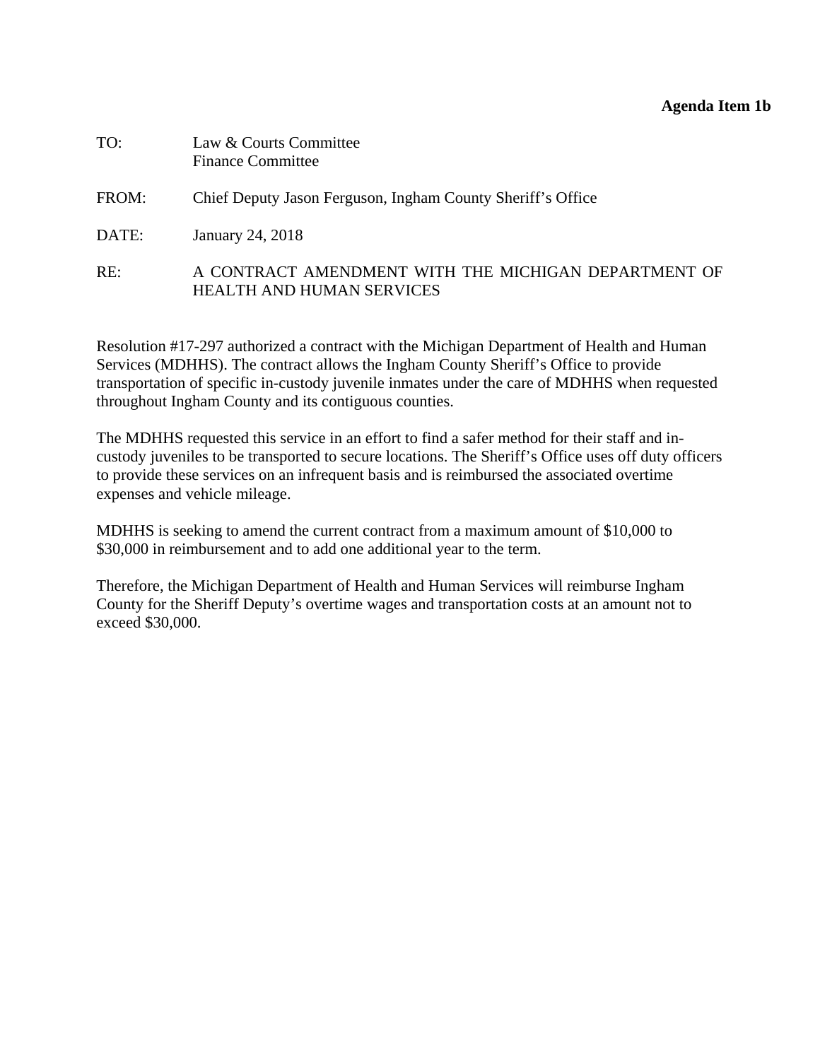## **Agenda Item 1b**

<span id="page-14-0"></span>

| TO:   | Law & Courts Committee<br><b>Finance Committee</b>                                       |
|-------|------------------------------------------------------------------------------------------|
| FROM: | Chief Deputy Jason Ferguson, Ingham County Sheriff's Office                              |
| DATE: | January 24, 2018                                                                         |
| RE:   | A CONTRACT AMENDMENT WITH THE MICHIGAN DEPARTMENT OF<br><b>HEALTH AND HUMAN SERVICES</b> |

Resolution #17-297 authorized a contract with the Michigan Department of Health and Human Services (MDHHS). The contract allows the Ingham County Sheriff's Office to provide transportation of specific in-custody juvenile inmates under the care of MDHHS when requested throughout Ingham County and its contiguous counties.

The MDHHS requested this service in an effort to find a safer method for their staff and incustody juveniles to be transported to secure locations. The Sheriff's Office uses off duty officers to provide these services on an infrequent basis and is reimbursed the associated overtime expenses and vehicle mileage.

MDHHS is seeking to amend the current contract from a maximum amount of \$10,000 to \$30,000 in reimbursement and to add one additional year to the term.

Therefore, the Michigan Department of Health and Human Services will reimburse Ingham County for the Sheriff Deputy's overtime wages and transportation costs at an amount not to exceed \$30,000.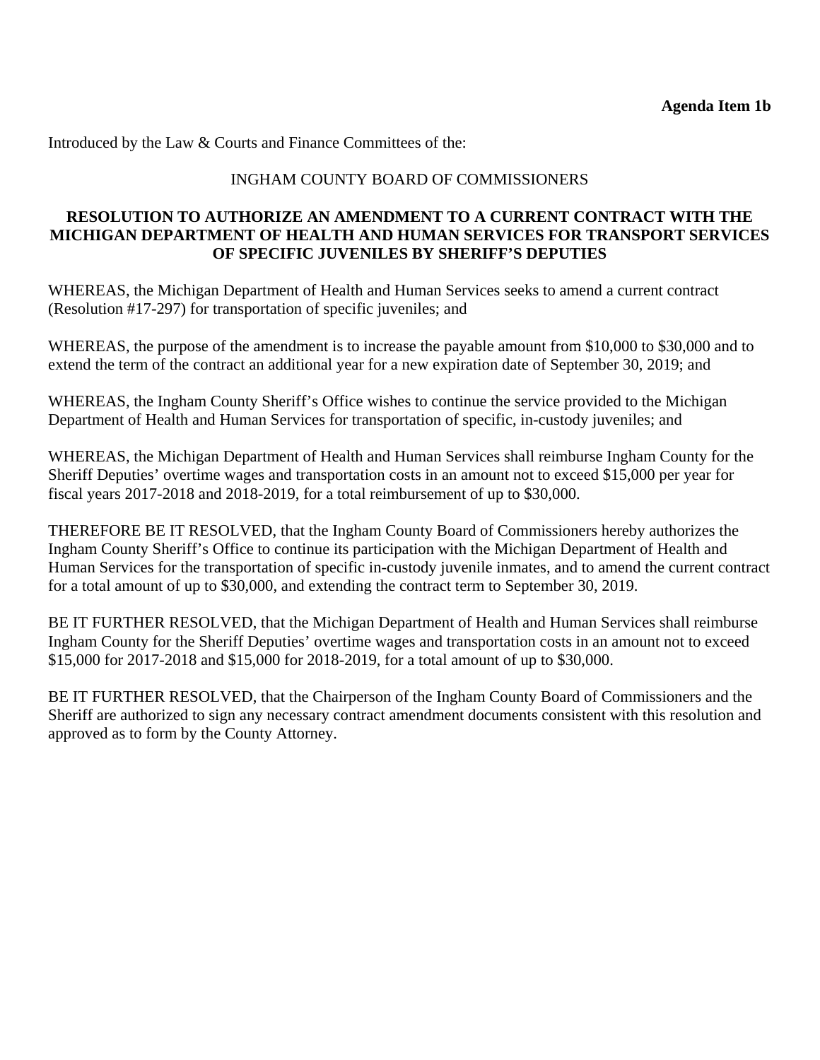Introduced by the Law & Courts and Finance Committees of the:

## INGHAM COUNTY BOARD OF COMMISSIONERS

## **RESOLUTION TO AUTHORIZE AN AMENDMENT TO A CURRENT CONTRACT WITH THE MICHIGAN DEPARTMENT OF HEALTH AND HUMAN SERVICES FOR TRANSPORT SERVICES OF SPECIFIC JUVENILES BY SHERIFF'S DEPUTIES**

WHEREAS, the Michigan Department of Health and Human Services seeks to amend a current contract (Resolution #17-297) for transportation of specific juveniles; and

WHEREAS, the purpose of the amendment is to increase the payable amount from \$10,000 to \$30,000 and to extend the term of the contract an additional year for a new expiration date of September 30, 2019; and

WHEREAS, the Ingham County Sheriff's Office wishes to continue the service provided to the Michigan Department of Health and Human Services for transportation of specific, in-custody juveniles; and

WHEREAS, the Michigan Department of Health and Human Services shall reimburse Ingham County for the Sheriff Deputies' overtime wages and transportation costs in an amount not to exceed \$15,000 per year for fiscal years 2017-2018 and 2018-2019, for a total reimbursement of up to \$30,000.

THEREFORE BE IT RESOLVED, that the Ingham County Board of Commissioners hereby authorizes the Ingham County Sheriff's Office to continue its participation with the Michigan Department of Health and Human Services for the transportation of specific in-custody juvenile inmates, and to amend the current contract for a total amount of up to \$30,000, and extending the contract term to September 30, 2019.

BE IT FURTHER RESOLVED, that the Michigan Department of Health and Human Services shall reimburse Ingham County for the Sheriff Deputies' overtime wages and transportation costs in an amount not to exceed \$15,000 for 2017-2018 and \$15,000 for 2018-2019, for a total amount of up to \$30,000.

BE IT FURTHER RESOLVED, that the Chairperson of the Ingham County Board of Commissioners and the Sheriff are authorized to sign any necessary contract amendment documents consistent with this resolution and approved as to form by the County Attorney.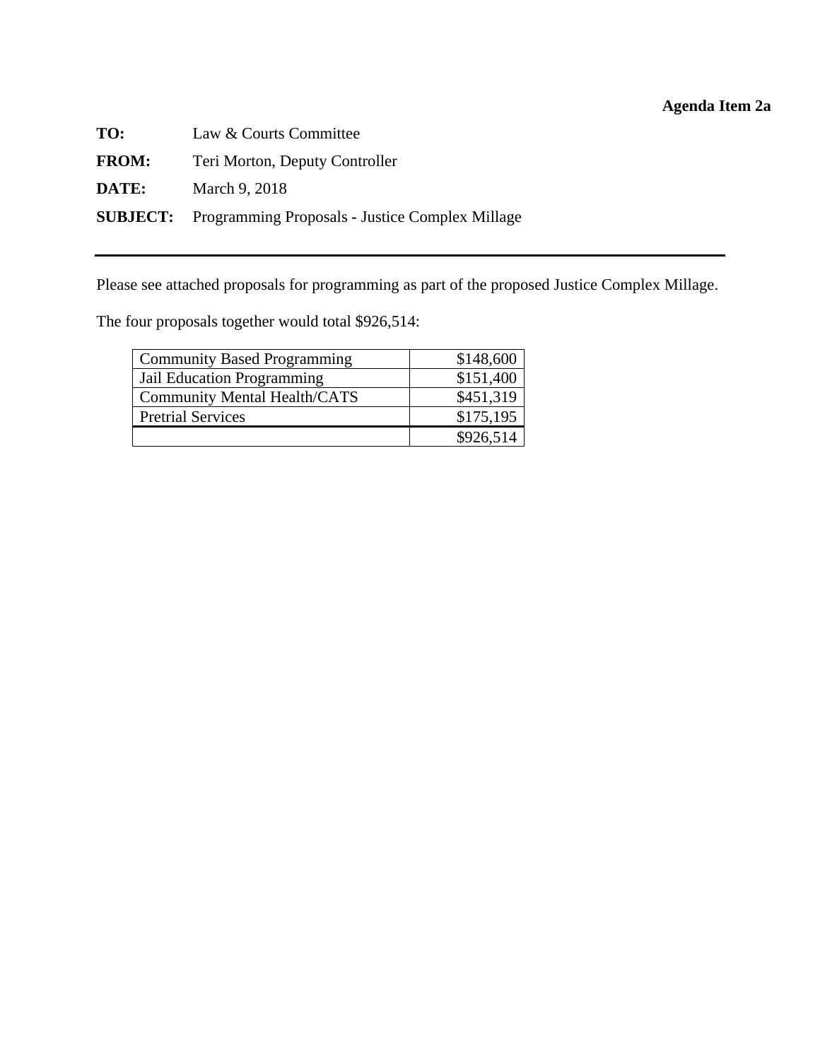# **Agenda Item 2a**

<span id="page-16-0"></span>

| TO:          | Law & Courts Committee                                          |
|--------------|-----------------------------------------------------------------|
| <b>FROM:</b> | Teri Morton, Deputy Controller                                  |
| DATE:        | March 9, 2018                                                   |
|              | <b>SUBJECT:</b> Programming Proposals - Justice Complex Millage |

Please see attached proposals for programming as part of the proposed Justice Complex Millage.

The four proposals together would total \$926,514:

| <b>Community Based Programming</b>  | \$148,600 |
|-------------------------------------|-----------|
| Jail Education Programming          | \$151,400 |
| <b>Community Mental Health/CATS</b> | \$451,319 |
| <b>Pretrial Services</b>            | \$175,195 |
|                                     | \$926,514 |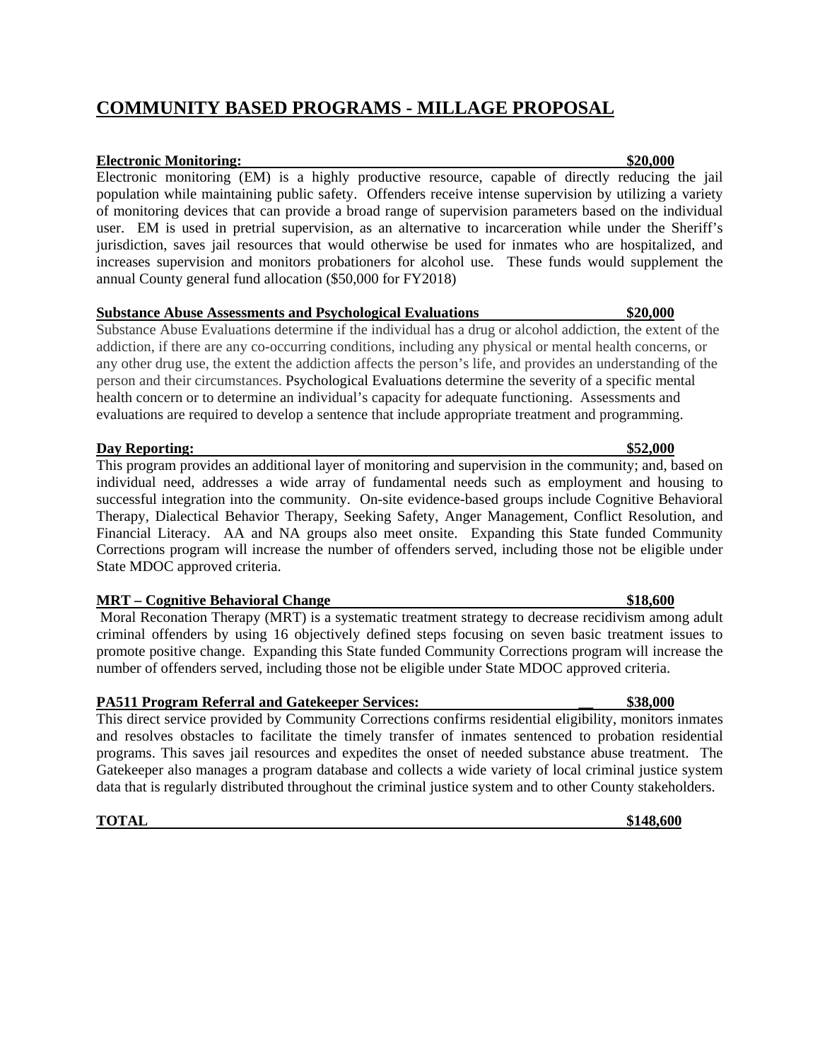# **COMMUNITY BASED PROGRAMS - MILLAGE PROPOSAL**

## **Electronic Monitoring: \$20,000**

Electronic monitoring (EM) is a highly productive resource, capable of directly reducing the jail population while maintaining public safety. Offenders receive intense supervision by utilizing a variety of monitoring devices that can provide a broad range of supervision parameters based on the individual user. EM is used in pretrial supervision, as an alternative to incarceration while under the Sheriff's jurisdiction, saves jail resources that would otherwise be used for inmates who are hospitalized, and increases supervision and monitors probationers for alcohol use. These funds would supplement the annual County general fund allocation (\$50,000 for FY2018)

### **Substance Abuse Assessments and Psychological Evaluations \$20,000**

Substance Abuse Evaluations determine if the individual has a drug or alcohol addiction, the extent of the addiction, if there are any co-occurring conditions, including any physical or mental health concerns, or any other drug use, the extent the addiction affects the person's life, and provides an understanding of the person and their circumstances. Psychological Evaluations determine the severity of a specific mental health concern or to determine an individual's capacity for adequate functioning. Assessments and evaluations are required to develop a sentence that include appropriate treatment and programming.

## **Day Reporting:**  $$52,000$

This program provides an additional layer of monitoring and supervision in the community; and, based on individual need, addresses a wide array of fundamental needs such as employment and housing to successful integration into the community. On-site evidence-based groups include Cognitive Behavioral Therapy, Dialectical Behavior Therapy, Seeking Safety, Anger Management, Conflict Resolution, and Financial Literacy. AA and NA groups also meet onsite. Expanding this State funded Community Corrections program will increase the number of offenders served, including those not be eligible under State MDOC approved criteria.

### **MRT** – Cognitive Behavioral Change **\$18,600 \$18,600**

 Moral Reconation Therapy (MRT) is a systematic treatment strategy to decrease recidivism among adult criminal offenders by using 16 objectively defined steps focusing on seven basic treatment issues to promote positive change. Expanding this State funded Community Corrections program will increase the number of offenders served, including those not be eligible under State MDOC approved criteria.

## **PA511 Program Referral and Gatekeeper Services: \_\_ \$38,000**

This direct service provided by Community Corrections confirms residential eligibility, monitors inmates and resolves obstacles to facilitate the timely transfer of inmates sentenced to probation residential programs. This saves jail resources and expedites the onset of needed substance abuse treatment. The Gatekeeper also manages a program database and collects a wide variety of local criminal justice system data that is regularly distributed throughout the criminal justice system and to other County stakeholders.

### **TOTAL** \$148,600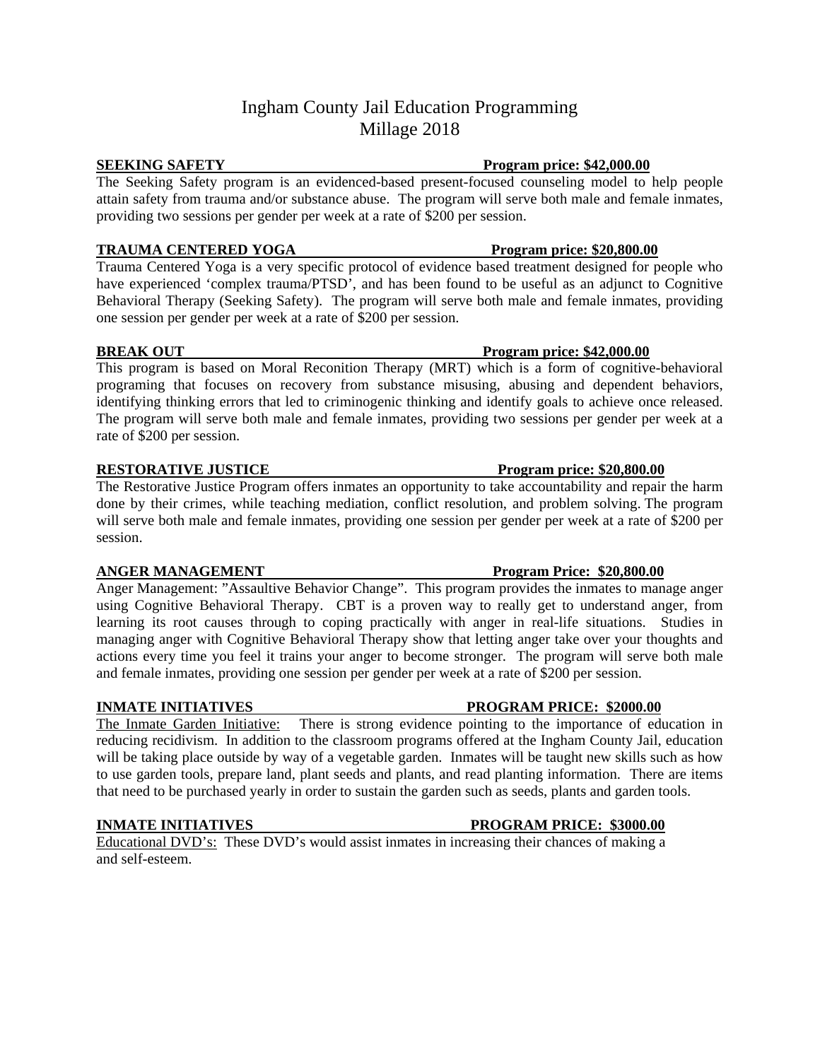# Ingham County Jail Education Programming Millage 2018

### **SEEKING SAFETY Program price: \$42,000.00**

The Seeking Safety program is an evidenced-based present-focused counseling model to help people attain safety from trauma and/or substance abuse. The program will serve both male and female inmates, providing two sessions per gender per week at a rate of \$200 per session.

### **TRAUMA CENTERED YOGA** Program price: \$20,800.00

Trauma Centered Yoga is a very specific protocol of evidence based treatment designed for people who have experienced 'complex trauma/PTSD', and has been found to be useful as an adjunct to Cognitive Behavioral Therapy (Seeking Safety). The program will serve both male and female inmates, providing one session per gender per week at a rate of \$200 per session.

### **BREAK OUT** Program price: \$42,000.00

This program is based on Moral Reconition Therapy (MRT) which is a form of cognitive-behavioral programing that focuses on recovery from substance misusing, abusing and dependent behaviors, identifying thinking errors that led to criminogenic thinking and identify goals to achieve once released. The program will serve both male and female inmates, providing two sessions per gender per week at a rate of \$200 per session.

### **RESTORATIVE JUSTICE Program price: \$20,800.00**

The Restorative Justice Program offers inmates an opportunity to take accountability and repair the harm done by their crimes, while teaching mediation, conflict resolution, and problem solving. The program will serve both male and female inmates, providing one session per gender per week at a rate of \$200 per session.

Anger Management: "Assaultive Behavior Change". This program provides the inmates to manage anger using Cognitive Behavioral Therapy. CBT is a proven way to really get to understand anger, from learning its root causes through to coping practically with anger in real-life situations. Studies in managing anger with Cognitive Behavioral Therapy show that letting anger take over your thoughts and actions every time you feel it trains your anger to become stronger. The program will serve both male and female inmates, providing one session per gender per week at a rate of \$200 per session.

The Inmate Garden Initiative: There is strong evidence pointing to the importance of education in reducing recidivism. In addition to the classroom programs offered at the Ingham County Jail, education will be taking place outside by way of a vegetable garden. Inmates will be taught new skills such as how to use garden tools, prepare land, plant seeds and plants, and read planting information. There are items that need to be purchased yearly in order to sustain the garden such as seeds, plants and garden tools.

Educational DVD's: These DVD's would assist inmates in increasing their chances of making a and self-esteem.

### **ANGER MANAGEMENT Program Price: \$20,800.00**

### **INMATE INITIATIVES PROGRAM PRICE: \$2000.00**

## **INMATE INITIATIVES** PROGRAM PRICE: \$3000.00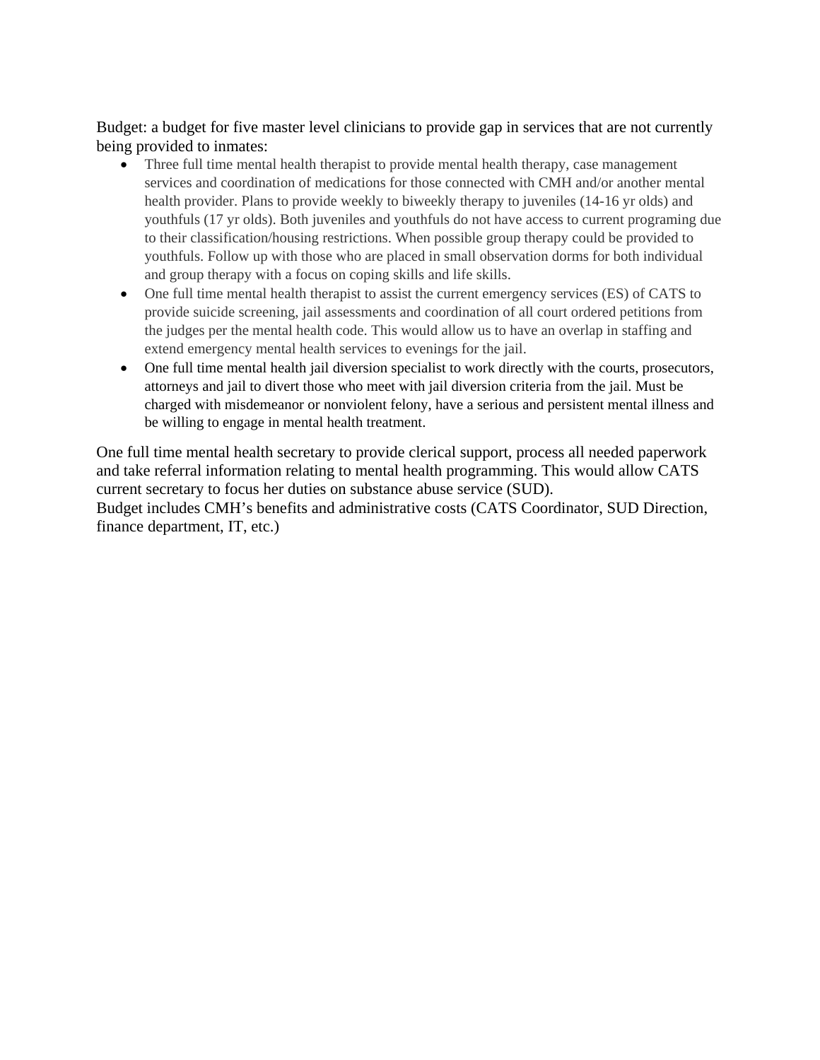Budget: a budget for five master level clinicians to provide gap in services that are not currently being provided to inmates:

- Three full time mental health therapist to provide mental health therapy, case management services and coordination of medications for those connected with CMH and/or another mental health provider. Plans to provide weekly to biweekly therapy to juveniles (14-16 yr olds) and youthfuls (17 yr olds). Both juveniles and youthfuls do not have access to current programing due to their classification/housing restrictions. When possible group therapy could be provided to youthfuls. Follow up with those who are placed in small observation dorms for both individual and group therapy with a focus on coping skills and life skills.
- One full time mental health therapist to assist the current emergency services (ES) of CATS to provide suicide screening, jail assessments and coordination of all court ordered petitions from the judges per the mental health code. This would allow us to have an overlap in staffing and extend emergency mental health services to evenings for the jail.
- One full time mental health jail diversion specialist to work directly with the courts, prosecutors, attorneys and jail to divert those who meet with jail diversion criteria from the jail. Must be charged with misdemeanor or nonviolent felony, have a serious and persistent mental illness and be willing to engage in mental health treatment.

One full time mental health secretary to provide clerical support, process all needed paperwork and take referral information relating to mental health programming. This would allow CATS current secretary to focus her duties on substance abuse service (SUD). Budget includes CMH's benefits and administrative costs (CATS Coordinator, SUD Direction, finance department, IT, etc.)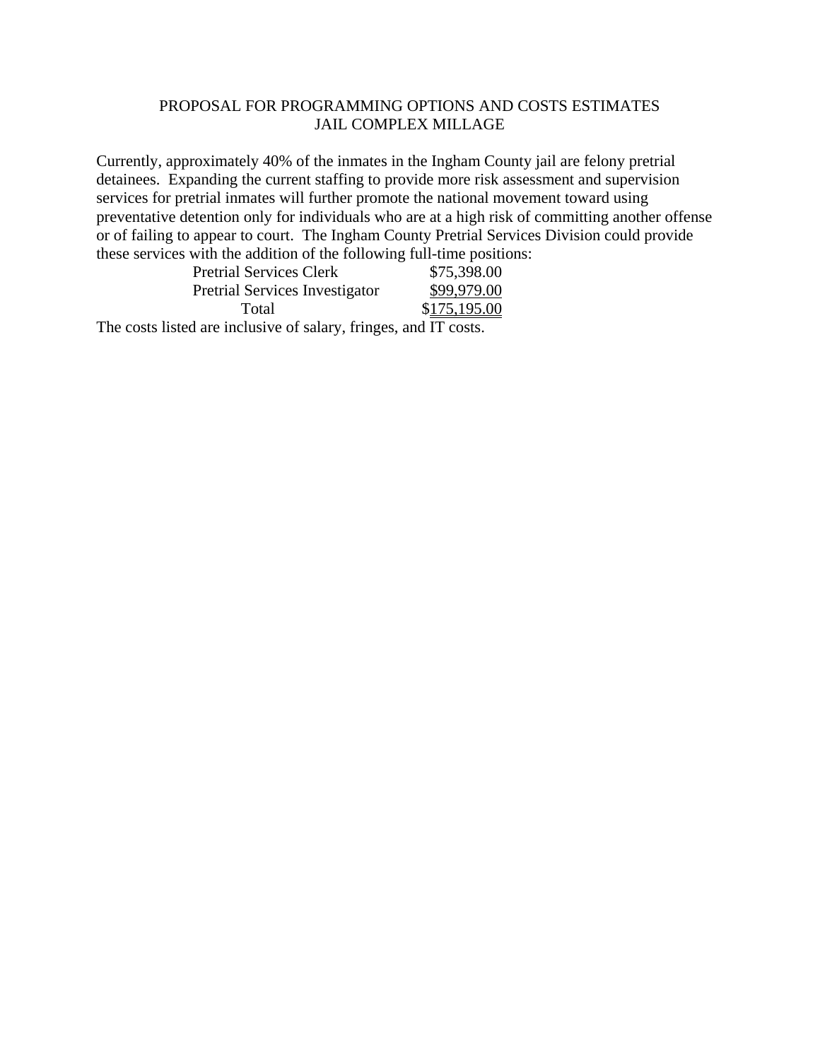## PROPOSAL FOR PROGRAMMING OPTIONS AND COSTS ESTIMATES JAIL COMPLEX MILLAGE

Currently, approximately 40% of the inmates in the Ingham County jail are felony pretrial detainees. Expanding the current staffing to provide more risk assessment and supervision services for pretrial inmates will further promote the national movement toward using preventative detention only for individuals who are at a high risk of committing another offense or of failing to appear to court. The Ingham County Pretrial Services Division could provide these services with the addition of the following full-time positions:

|     | <b>Pretrial Services Clerk</b>        | \$75,398.00  |
|-----|---------------------------------------|--------------|
|     | <b>Pretrial Services Investigator</b> | \$99,979.00  |
|     | Total                                 | \$175,195.00 |
| --- |                                       |              |

The costs listed are inclusive of salary, fringes, and IT costs.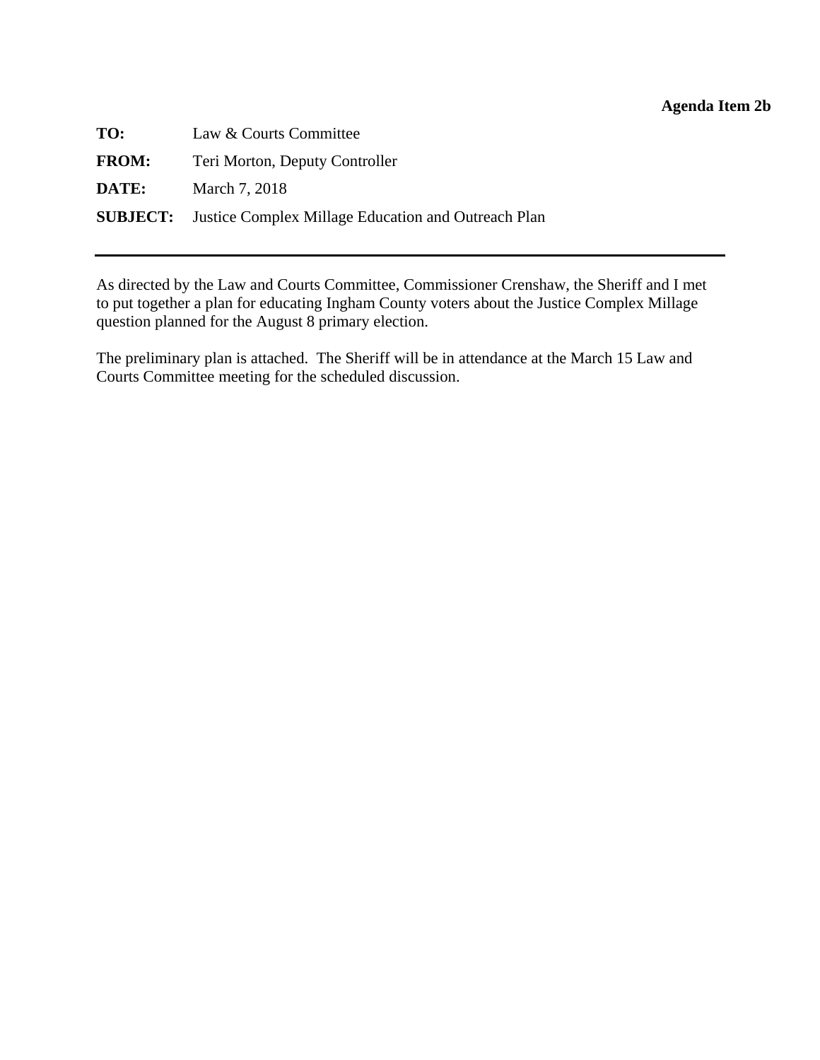## **Agenda Item 2b**

<span id="page-21-0"></span>

| TO:          | Law & Courts Committee                                              |
|--------------|---------------------------------------------------------------------|
| <b>FROM:</b> | Teri Morton, Deputy Controller                                      |
| DATE:        | March 7, 2018                                                       |
|              | <b>SUBJECT:</b> Justice Complex Millage Education and Outreach Plan |

As directed by the Law and Courts Committee, Commissioner Crenshaw, the Sheriff and I met to put together a plan for educating Ingham County voters about the Justice Complex Millage question planned for the August 8 primary election.

The preliminary plan is attached. The Sheriff will be in attendance at the March 15 Law and Courts Committee meeting for the scheduled discussion.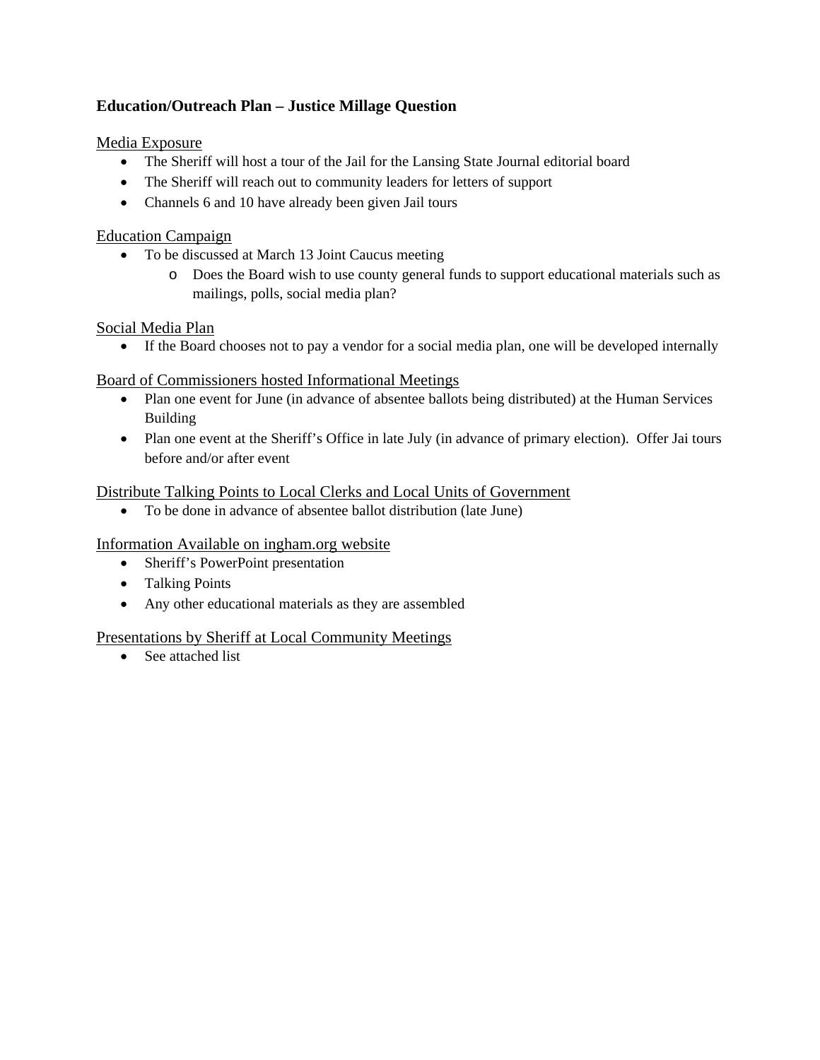## **Education/Outreach Plan – Justice Millage Question**

Media Exposure

- The Sheriff will host a tour of the Jail for the Lansing State Journal editorial board
- The Sheriff will reach out to community leaders for letters of support
- Channels 6 and 10 have already been given Jail tours

## Education Campaign

- To be discussed at March 13 Joint Caucus meeting
	- o Does the Board wish to use county general funds to support educational materials such as mailings, polls, social media plan?

## Social Media Plan

If the Board chooses not to pay a vendor for a social media plan, one will be developed internally

## Board of Commissioners hosted Informational Meetings

- Plan one event for June (in advance of absentee ballots being distributed) at the Human Services Building
- Plan one event at the Sheriff's Office in late July (in advance of primary election). Offer Jai tours before and/or after event

## Distribute Talking Points to Local Clerks and Local Units of Government

To be done in advance of absentee ballot distribution (late June)

## Information Available on ingham.org website

- Sheriff's PowerPoint presentation
- Talking Points
- Any other educational materials as they are assembled

## Presentations by Sheriff at Local Community Meetings

• See attached list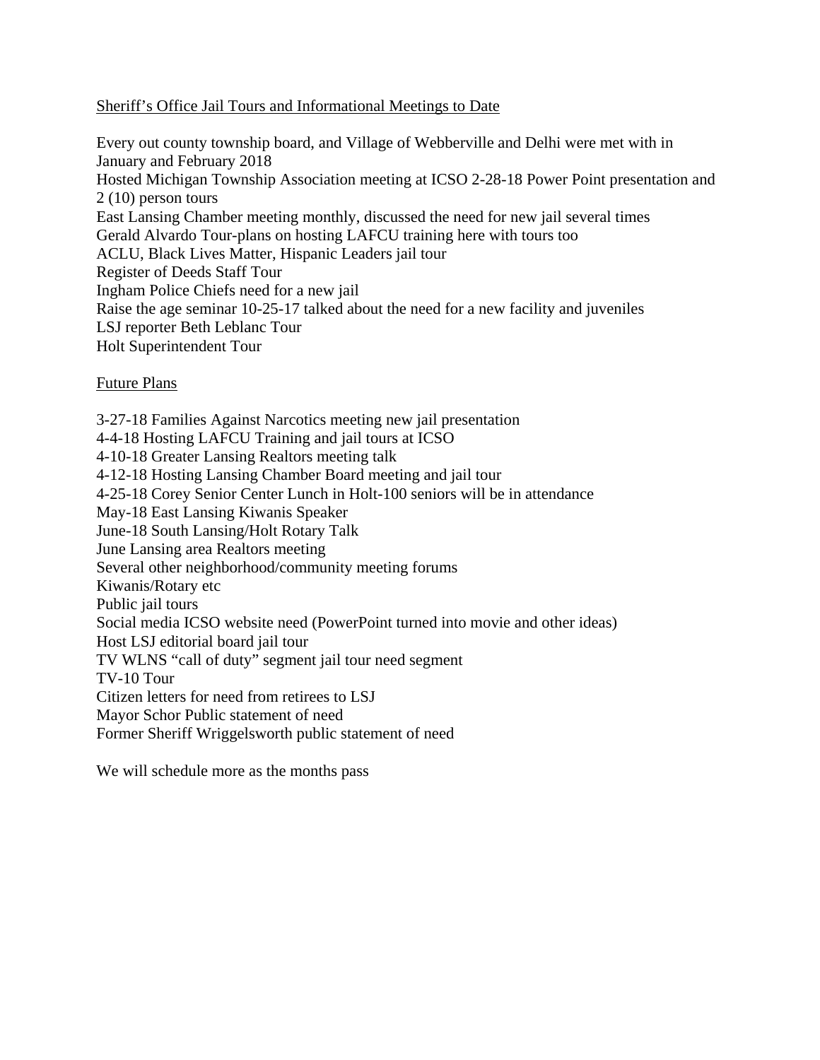## Sheriff's Office Jail Tours and Informational Meetings to Date

Every out county township board, and Village of Webberville and Delhi were met with in January and February 2018 Hosted Michigan Township Association meeting at ICSO 2-28-18 Power Point presentation and 2 (10) person tours East Lansing Chamber meeting monthly, discussed the need for new jail several times Gerald Alvardo Tour-plans on hosting LAFCU training here with tours too ACLU, Black Lives Matter, Hispanic Leaders jail tour Register of Deeds Staff Tour Ingham Police Chiefs need for a new jail Raise the age seminar 10-25-17 talked about the need for a new facility and juveniles LSJ reporter Beth Leblanc Tour Holt Superintendent Tour

## Future Plans

3-27-18 Families Against Narcotics meeting new jail presentation 4-4-18 Hosting LAFCU Training and jail tours at ICSO 4-10-18 Greater Lansing Realtors meeting talk 4-12-18 Hosting Lansing Chamber Board meeting and jail tour 4-25-18 Corey Senior Center Lunch in Holt-100 seniors will be in attendance May-18 East Lansing Kiwanis Speaker June-18 South Lansing/Holt Rotary Talk June Lansing area Realtors meeting Several other neighborhood/community meeting forums Kiwanis/Rotary etc Public jail tours Social media ICSO website need (PowerPoint turned into movie and other ideas) Host LSJ editorial board jail tour TV WLNS "call of duty" segment jail tour need segment TV-10 Tour Citizen letters for need from retirees to LSJ Mayor Schor Public statement of need Former Sheriff Wriggelsworth public statement of need

We will schedule more as the months pass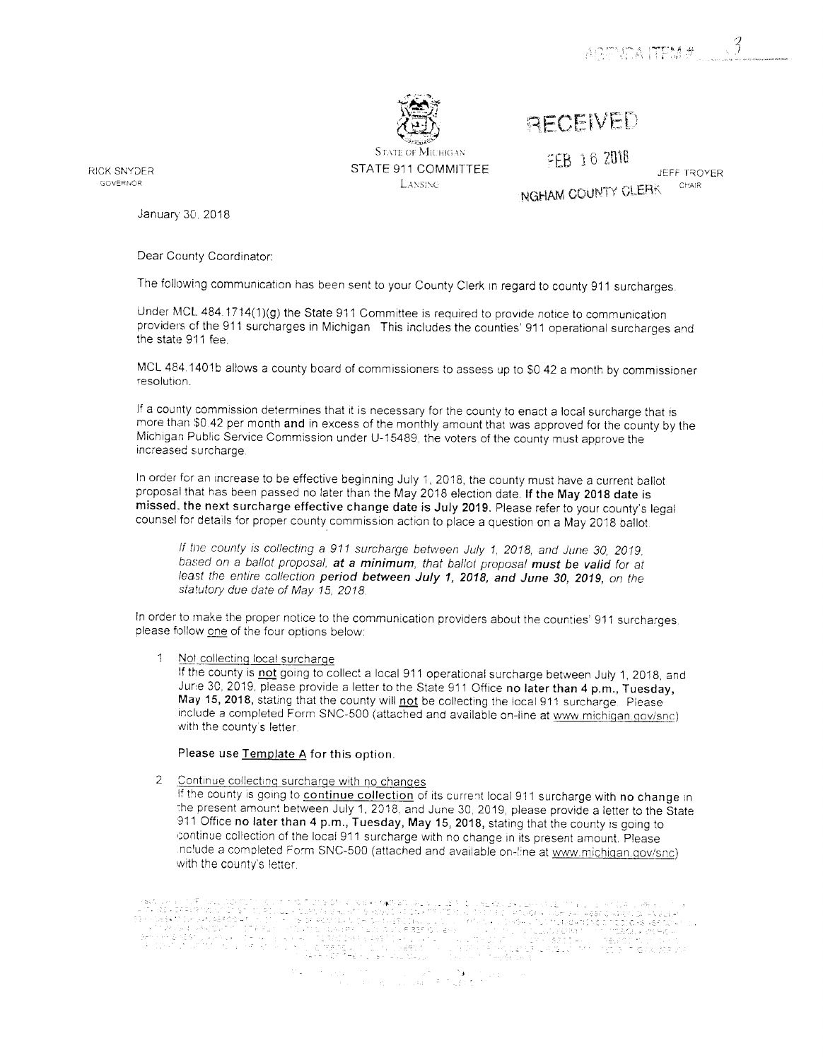

**STATE OF MICHIGAN** STATE 911 COMMITTEE LANSING

FEB 16 2018

RECEIVED

JEFF TROYER NGHAM COUNTY CLERK CHAIR

**RICK SNYDER** GOVERNOR

January 30, 2018

Dear County Coordinator:

The following communication has been sent to your County Clerk in regard to county 911 surcharges.

Under MCL 484.1714(1)(g) the State 911 Committee is required to provide notice to communication providers of the 911 surcharges in Michigan This includes the counties' 911 operational surcharges and the state 911 fee.

MCL 484.1401b allows a county board of commissioners to assess up to \$0.42 a month by commissioner resolution.

If a county commission determines that it is necessary for the county to enact a local surcharge that is more than \$0.42 per month and in excess of the monthly amount that was approved for the county by the Michigan Public Service Commission under U-15489, the voters of the county must approve the increased surcharge.

In order for an increase to be effective beginning July 1, 2018, the county must have a current ballot proposal that has been passed no later than the May 2018 election date. If the May 2018 date is missed, the next surcharge effective change date is July 2019. Please refer to your county's legal counsel for details for proper county commission action to place a question on a May 2018 ballot.

If the county is collecting a 911 surcharge between July 1, 2018, and June 30, 2019, based on a ballot proposal, at a minimum, that ballot proposal must be valid for at least the entire collection period between July 1, 2018, and June 30, 2019, on the statutory due date of May 15, 2018.

In order to make the proper notice to the communication providers about the counties' 911 surcharges. please follow one of the four options below:

 $\mathbf{1}$ Not collecting local surcharge

If the county is not going to collect a local 911 operational surcharge between July 1, 2018, and June 30, 2019, please provide a letter to the State 911 Office no later than 4 p.m., Tuesday, May 15, 2018, stating that the county will not be collecting the local 911 surcharge. Please include a completed Form SNC-500 (attached and available on-line at www.michigan.gov/snc) with the county's letter.

#### Please use Template A for this option.

2 Continue collecting surcharge with no changes

If the county is going to continue collection of its current local 911 surcharge with no change in the present amount between July 1, 2018, and June 30, 2019, please provide a letter to the State 911 Office no later than 4 p.m., Tuesday, May 15, 2018, stating that the county is going to continue collection of the local 911 surcharge with no change in its present amount. Please nclude a completed Form SNC-500 (attached and available on-line at www.michigan.gov/snc) with the county's letter.

adouse and CPP Popul Digital PC Policy for the Digital SAS of Applied AMS and Applications of the activity of<br>Persis and PRACistan Condition of the Policy Policy for PCP is a structed by Apple Disconsitions of Digital P<br>P (\* 1. septembar)<br>1914: Cristian (\* 1.<br>1. septembar (\* 1945) Silvius († 1858)<br>1900 - Jan Belles, amerikansk skriuwer<br>1900 - Belliam Marie, maarsk skriuwer<br>1900 - Kannies († 1900) 

 $\label{eq:2.1} \begin{split} \mathcal{L}(\mathcal{L}(\mathbf{z})) = \frac{1}{2} \sum_{i=1}^n \mathcal{L}(\mathbf{z}) \mathcal{L}(\mathbf{z}) \mathcal{L}(\mathbf{z}) = \frac{1}{2} \sum_{i=1}^n \mathcal{L}(\mathbf{z}) \mathcal{L}(\mathbf{z}) \mathcal{L}(\mathbf{z}) \mathcal{L}(\mathbf{z}) \mathcal{L}(\mathbf{z}) \mathcal{L}(\mathbf{z}) \mathcal{L}(\mathbf{z}) \mathcal{L}(\mathbf{z}) \mathcal{L}(\mathbf{z}) \mathcal{L}(\mathbf{$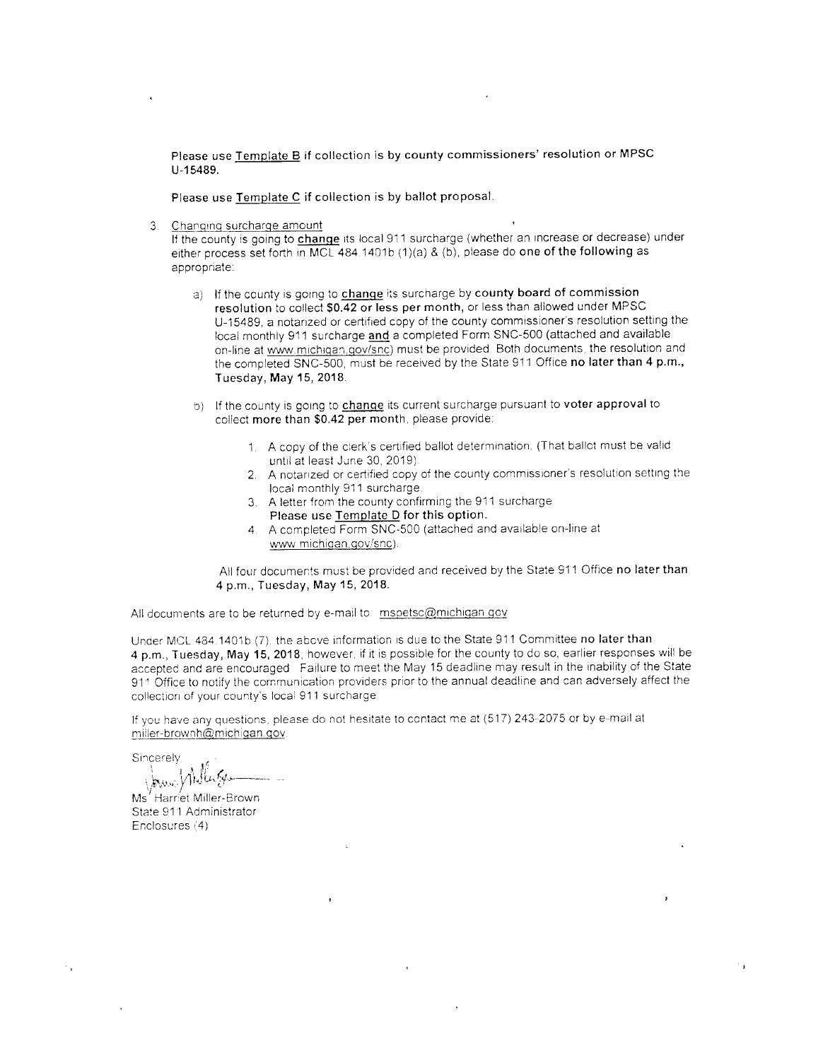Please use Template B if collection is by county commissioners' resolution or MPSC U-15489.

Please use Template C if collection is by ballot proposal.

Changing surcharge amount  $3.$ 

If the county is going to change its local 911 surcharge (whether an increase or decrease) under either process set forth in MCL 484.1401b (1)(a) & (b), please do one of the following as appropriate:

- a) If the county is going to change its surcharge by county board of commission resolution to collect \$0.42 or less per month, or less than allowed under MPSC U-15489, a notarized or certified copy of the county commissioner's resolution setting the local monthly 911 surcharge and a completed Form SNC-500 (attached and available on-line at www.michigan.gov/snc) must be provided. Both documents, the resolution and the completed SNC-500, must be received by the State 911 Office no later than 4 p.m., Tuesday, May 15, 2018.
- b) If the county is going to change its current surcharge pursuant to voter approval to collect more than \$0.42 per month, please provide:
	- 1. A copy of the clerk's certified ballot determination. (That ballot must be valid until at least June 30, 2019).
	- 2. A notarized or certified copy of the county commissioner's resolution setting the local monthly 911 surcharge.
	- 3. A letter from the county confirming the 911 surcharge Please use Template D for this option.
	- 4. A completed Form SNC-500 (attached and available on-line at www.michigan.gov/snc).

All four documents must be provided and received by the State 911 Office no later than 4 p.m., Tuesday, May 15, 2018.

All documents are to be returned by e-mail to: mspetsc@michigan.gov

Under MCL 484,1401b (7), the above information is due to the State 911 Committee no later than 4 p.m., Tuesday, May 15, 2018; however, if it is possible for the county to do so, earlier responses will be accepted and are encouraged Failure to meet the May 15 deadline may result in the inability of the State 911 Office to notify the communication providers prior to the annual deadline and can adversely affect the collection of your county's local 911 surcharge.

If you have any questions, please do not hesitate to contact me at (517) 243-2075 or by e-mail at miller-brownh@michigan.gov.

Sincerely

Jame Willings

Ms. Harriet Miller-Brown State 911 Administrator Enclosures (4)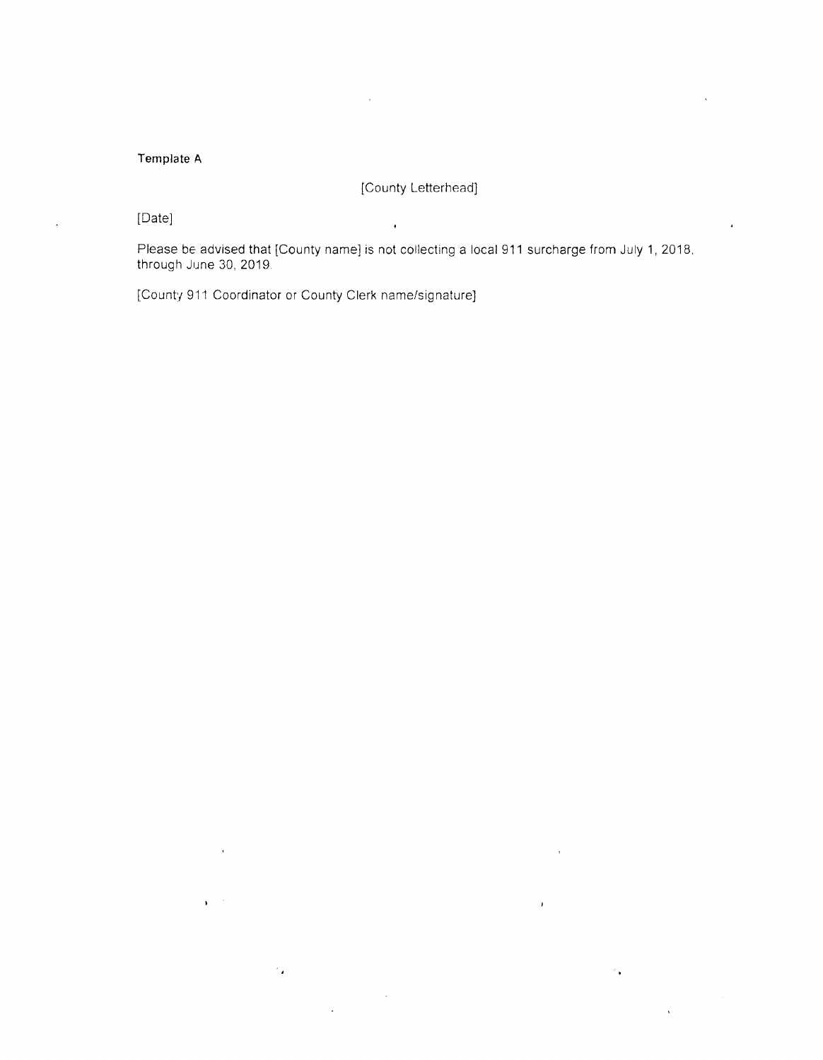### Template A

[County Letterhead]

[Date]

Please be advised that [County name] is not collecting a local 911 surcharge from July 1, 2018. through June 30, 2019.

 $\bar{g}$ 

[County 911 Coordinator or County Clerk name/signature]

 $\epsilon_{\rm{B}}$ 

 $\sim$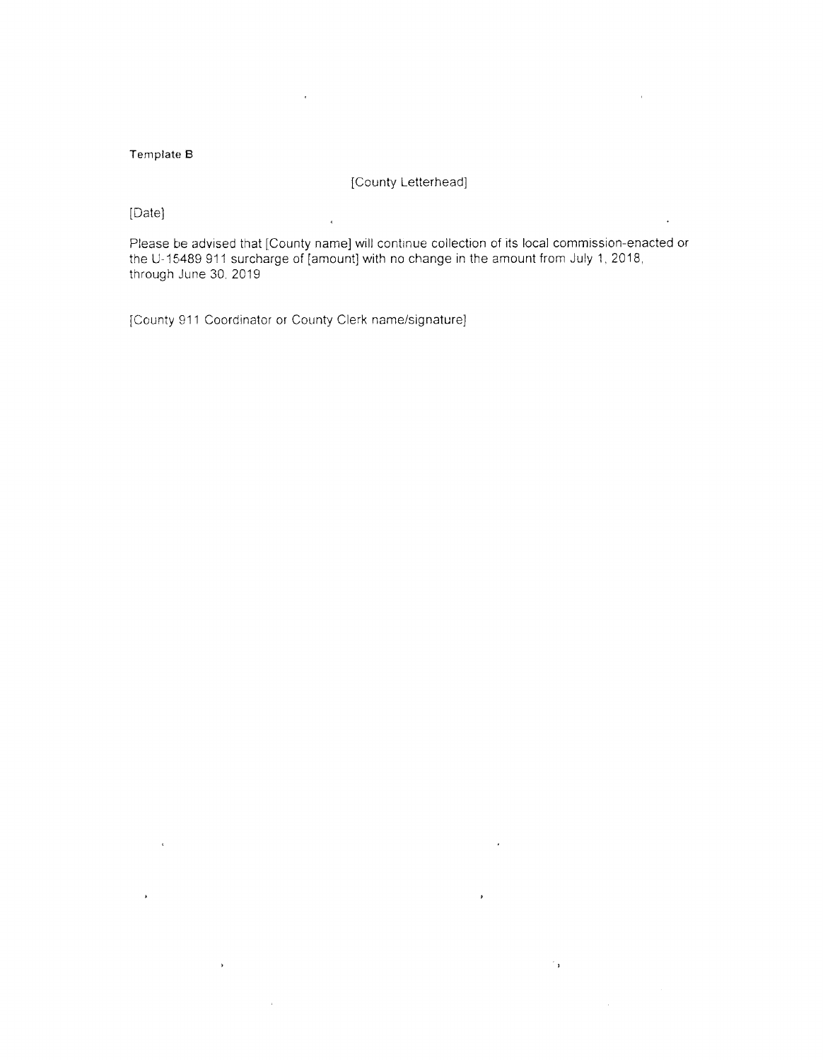#### Template B

[County Letterhead]

[Date]

Please be advised that [County name] will continue collection of its local commission-enacted or the U-15489 911 surcharge of [amount] with no change in the amount from July 1, 2018, through June 30, 2019

 $\ddot{\phantom{1}}$ 

 $\hat{\mathcal{C}}_{\mathbf{F}}$ 

 $\overline{\phantom{a}}$ 

[County 911 Coordinator or County Clerk name/signature]

 $\alpha$ 

 $\ddot{\phantom{1}}$ 

 $\bar{\bar{\star}}$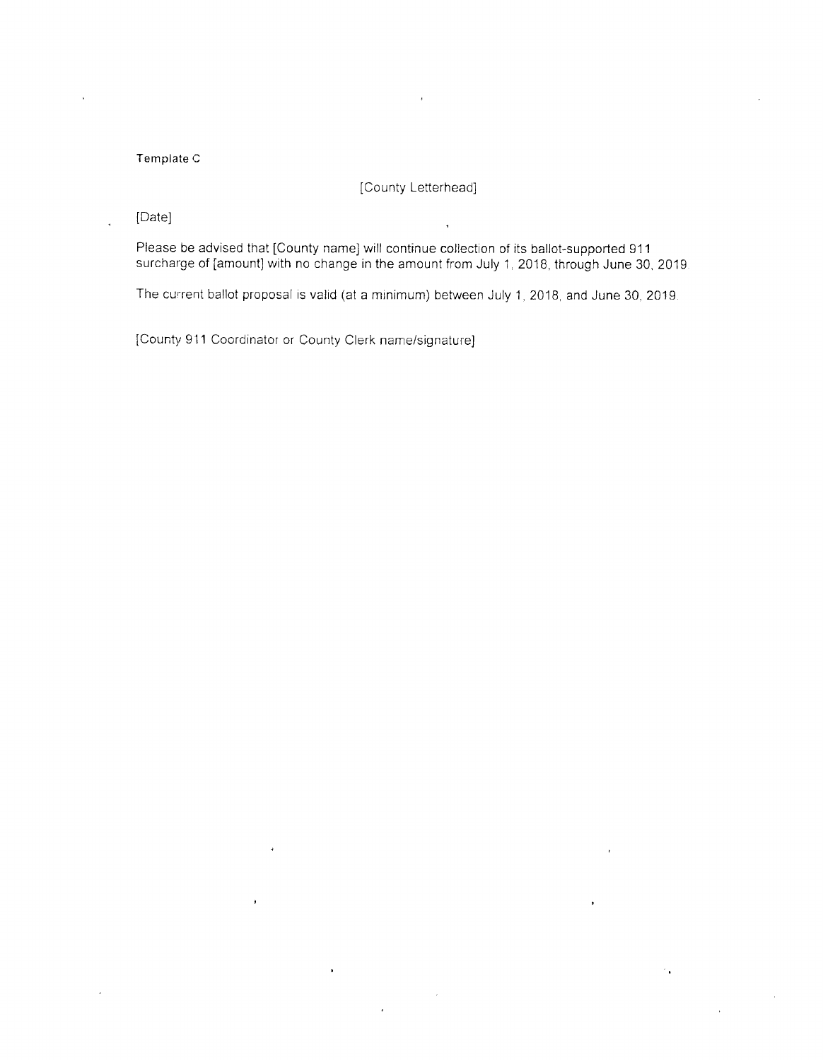#### Template C

## [County Letterhead]

[Date]

Please be advised that [County name] will continue collection of its ballot-supported 911 surcharge of [amount] with no change in the amount from July 1, 2018, through June 30, 2019.

The current ballot proposal is valid (at a minimum) between July 1, 2018, and June 30, 2019.

[County 911 Coordinator or County Clerk name/signature]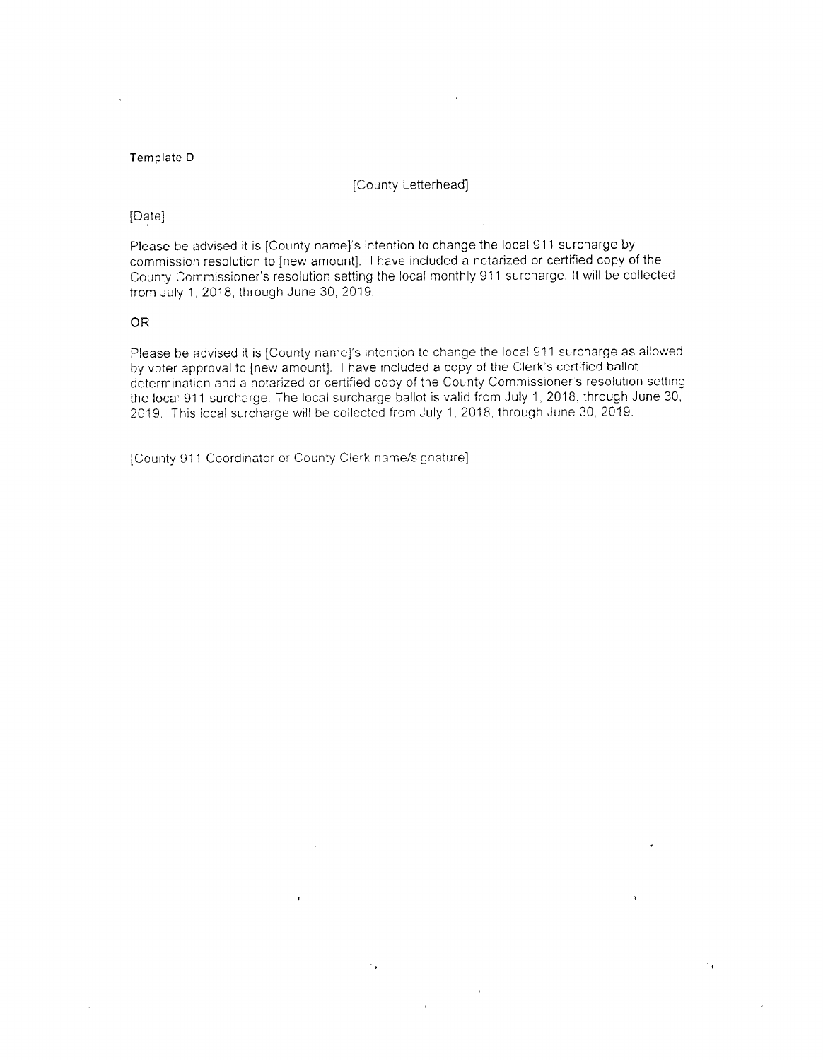#### Template D

[County Letterhead]

#### [Date]

Please be advised it is [County name]'s intention to change the local 911 surcharge by commission resolution to [new amount]. I have included a notarized or certified copy of the County Commissioner's resolution setting the local monthly 911 surcharge. It will be collected from July 1, 2018, through June 30, 2019.

#### **OR**

 $\bar{\mathcal{A}}$ 

Please be advised it is [County name]'s intention to change the local 911 surcharge as allowed by voter approval to [new amount]. I have included a copy of the Clerk's certified ballot determination and a notarized or certified copy of the County Commissioner's resolution setting the local 911 surcharge. The local surcharge ballot is valid from July 1, 2018, through June 30, 2019. This local surcharge will be collected from July 1, 2018, through June 30, 2019.

 $\sim 4^{\circ}$ 

[County 911 Coordinator or County Clerk name/signature]